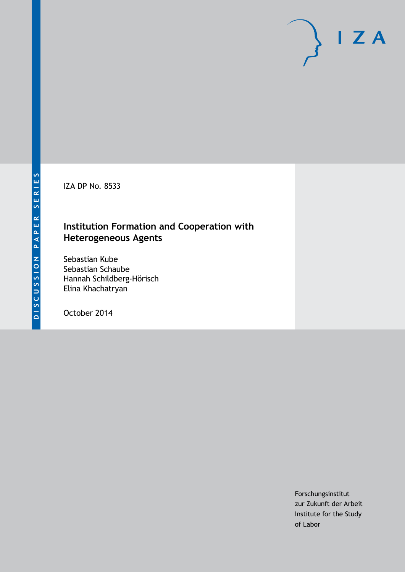IZA DP No. 8533

# **Institution Formation and Cooperation with Heterogeneous Agents**

Sebastian Kube Sebastian Schaube Hannah Schildberg-Hörisch Elina Khachatryan

October 2014

Forschungsinstitut zur Zukunft der Arbeit Institute for the Study of Labor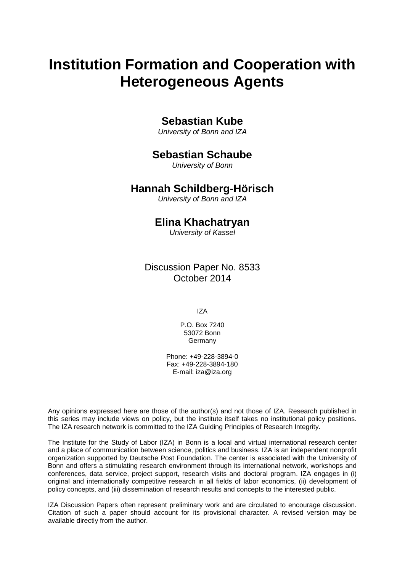# **Institution Formation and Cooperation with Heterogeneous Agents**

# **Sebastian Kube**

*University of Bonn and IZA*

# **Sebastian Schaube**

*University of Bonn*

# **Hannah Schildberg-Hörisch**

*University of Bonn and IZA*

# **Elina Khachatryan**

*University of Kassel*

# Discussion Paper No. 8533 October 2014

IZA

P.O. Box 7240 53072 Bonn Germany

Phone: +49-228-3894-0 Fax: +49-228-3894-180 E-mail: [iza@iza.org](mailto:iza@iza.org)

Any opinions expressed here are those of the author(s) and not those of IZA. Research published in this series may include views on policy, but the institute itself takes no institutional policy positions. The IZA research network is committed to the IZA Guiding Principles of Research Integrity.

The Institute for the Study of Labor (IZA) in Bonn is a local and virtual international research center and a place of communication between science, politics and business. IZA is an independent nonprofit organization supported by Deutsche Post Foundation. The center is associated with the University of Bonn and offers a stimulating research environment through its international network, workshops and conferences, data service, project support, research visits and doctoral program. IZA engages in (i) original and internationally competitive research in all fields of labor economics, (ii) development of policy concepts, and (iii) dissemination of research results and concepts to the interested public.

IZA Discussion Papers often represent preliminary work and are circulated to encourage discussion. Citation of such a paper should account for its provisional character. A revised version may be available directly from the author.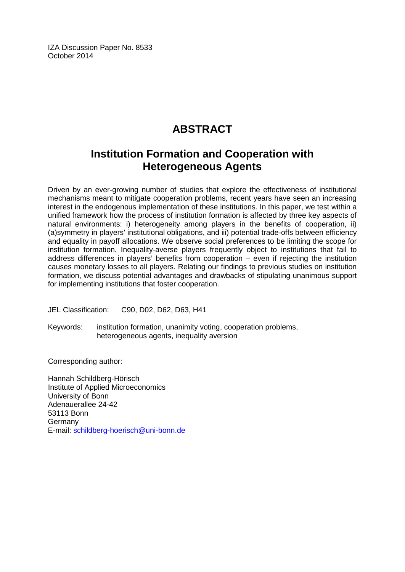IZA Discussion Paper No. 8533 October 2014

# **ABSTRACT**

# **Institution Formation and Cooperation with Heterogeneous Agents**

Driven by an ever-growing number of studies that explore the effectiveness of institutional mechanisms meant to mitigate cooperation problems, recent years have seen an increasing interest in the endogenous implementation of these institutions. In this paper, we test within a unified framework how the process of institution formation is affected by three key aspects of natural environments: i) heterogeneity among players in the benefits of cooperation, ii) (a)symmetry in players' institutional obligations, and iii) potential trade-offs between efficiency and equality in payoff allocations. We observe social preferences to be limiting the scope for institution formation. Inequality-averse players frequently object to institutions that fail to address differences in players' benefits from cooperation – even if rejecting the institution causes monetary losses to all players. Relating our findings to previous studies on institution formation, we discuss potential advantages and drawbacks of stipulating unanimous support for implementing institutions that foster cooperation.

JEL Classification: C90, D02, D62, D63, H41

Keywords: institution formation, unanimity voting, cooperation problems, heterogeneous agents, inequality aversion

Corresponding author:

Hannah Schildberg-Hörisch Institute of Applied Microeconomics University of Bonn Adenauerallee 24-42 53113 Bonn Germany E-mail: [schildberg-hoerisch@uni-bonn.de](mailto:schildberg-hoerisch@uni-bonn.de)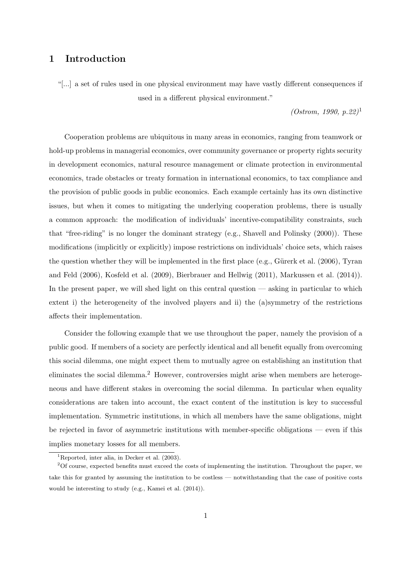# 1 Introduction

"[...] a set of rules used in one physical environment may have vastly different consequences if used in a different physical environment."

 $(Ostrom, 1990, p.22)^{1}$  $(Ostrom, 1990, p.22)^{1}$  $(Ostrom, 1990, p.22)^{1}$ 

Cooperation problems are ubiquitous in many areas in economics, ranging from teamwork or hold-up problems in managerial economics, over community governance or property rights security in development economics, natural resource management or climate protection in environmental economics, trade obstacles or treaty formation in international economics, to tax compliance and the provision of public goods in public economics. Each example certainly has its own distinctive issues, but when it comes to mitigating the underlying cooperation problems, there is usually a common approach: the modification of individuals' incentive-compatibility constraints, such that "free-riding" is no longer the dominant strategy (e.g., [Shavell and Polinsky](#page-27-0) [\(2000\)](#page-27-0)). These modifications (implicitly or explicitly) impose restrictions on individuals' choice sets, which raises the question whether they will be implemented in the first place (e.g., Gürerk et al.  $(2006)$ , [Tyran](#page-27-1) [and Feld](#page-27-1) [\(2006\)](#page-27-1), [Kosfeld et al.](#page-26-1) [\(2009\)](#page-26-1), [Bierbrauer and Hellwig](#page-25-0) [\(2011\)](#page-25-0), [Markussen et al.](#page-27-2) [\(2014\)](#page-27-2)). In the present paper, we will shed light on this central question — asking in particular to which extent i) the heterogeneity of the involved players and ii) the (a)symmetry of the restrictions affects their implementation.

Consider the following example that we use throughout the paper, namely the provision of a public good. If members of a society are perfectly identical and all benefit equally from overcoming this social dilemma, one might expect them to mutually agree on establishing an institution that eliminates the social dilemma.<sup>[2](#page-3-1)</sup> However, controversies might arise when members are heterogeneous and have different stakes in overcoming the social dilemma. In particular when equality considerations are taken into account, the exact content of the institution is key to successful implementation. Symmetric institutions, in which all members have the same obligations, might be rejected in favor of asymmetric institutions with member-specific obligations — even if this implies monetary losses for all members.

<span id="page-3-1"></span><span id="page-3-0"></span><sup>&</sup>lt;sup>1</sup>Reported, inter alia, in [Decker et al.](#page-26-2)  $(2003)$ .

<sup>2</sup>Of course, expected benefits must exceed the costs of implementing the institution. Throughout the paper, we take this for granted by assuming the institution to be costless — notwithstanding that the case of positive costs would be interesting to study (e.g., [Kamei et al.](#page-26-3) [\(2014\)](#page-26-3)).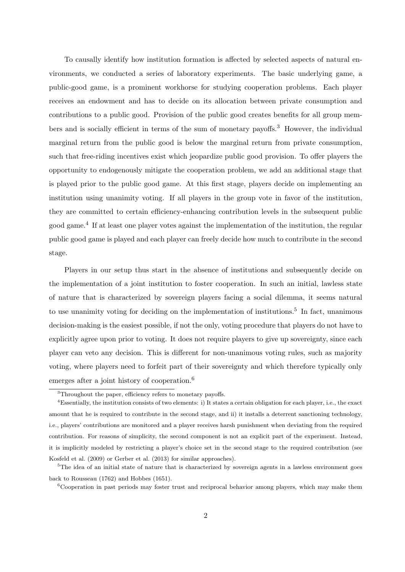To causally identify how institution formation is affected by selected aspects of natural environments, we conducted a series of laboratory experiments. The basic underlying game, a public-good game, is a prominent workhorse for studying cooperation problems. Each player receives an endowment and has to decide on its allocation between private consumption and contributions to a public good. Provision of the public good creates benefits for all group members and is socially efficient in terms of the sum of monetary payoffs.[3](#page-4-0) However, the individual marginal return from the public good is below the marginal return from private consumption, such that free-riding incentives exist which jeopardize public good provision. To offer players the opportunity to endogenously mitigate the cooperation problem, we add an additional stage that is played prior to the public good game. At this first stage, players decide on implementing an institution using unanimity voting. If all players in the group vote in favor of the institution, they are committed to certain efficiency-enhancing contribution levels in the subsequent public good game.<sup>[4](#page-4-1)</sup> If at least one player votes against the implementation of the institution, the regular public good game is played and each player can freely decide how much to contribute in the second stage.

Players in our setup thus start in the absence of institutions and subsequently decide on the implementation of a joint institution to foster cooperation. In such an initial, lawless state of nature that is characterized by sovereign players facing a social dilemma, it seems natural to use unanimity voting for deciding on the implementation of institutions.<sup>[5](#page-4-2)</sup> In fact, unanimous decision-making is the easiest possible, if not the only, voting procedure that players do not have to explicitly agree upon prior to voting. It does not require players to give up sovereignty, since each player can veto any decision. This is different for non-unanimous voting rules, such as majority voting, where players need to forfeit part of their sovereignty and which therefore typically only emerges after a joint history of cooperation.<sup>[6](#page-4-3)</sup>

<span id="page-4-1"></span><span id="page-4-0"></span><sup>&</sup>lt;sup>3</sup>Throughout the paper, efficiency refers to monetary payoffs.

<sup>4</sup>Essentially, the institution consists of two elements: i) It states a certain obligation for each player, i.e., the exact amount that he is required to contribute in the second stage, and ii) it installs a deterrent sanctioning technology, i.e., players' contributions are monitored and a player receives harsh punishment when deviating from the required contribution. For reasons of simplicity, the second component is not an explicit part of the experiment. Instead, it is implicitly modeled by restricting a player's choice set in the second stage to the required contribution (see [Kosfeld et al.](#page-26-1) [\(2009\)](#page-26-1) or [Gerber et al.](#page-26-4) [\(2013\)](#page-26-4) for similar approaches).

<span id="page-4-2"></span><sup>&</sup>lt;sup>5</sup>The idea of an initial state of nature that is characterized by sovereign agents in a lawless environment goes back to [Rousseau](#page-27-3) [\(1762\)](#page-27-3) and [Hobbes](#page-26-5) [\(1651\)](#page-26-5).

<span id="page-4-3"></span><sup>6</sup>Cooperation in past periods may foster trust and reciprocal behavior among players, which may make them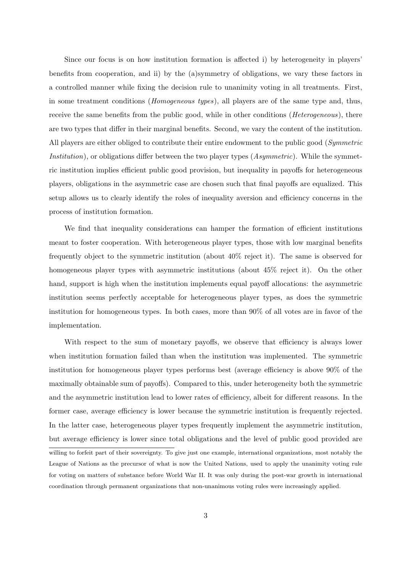Since our focus is on how institution formation is affected i) by heterogeneity in players' benefits from cooperation, and ii) by the (a)symmetry of obligations, we vary these factors in a controlled manner while fixing the decision rule to unanimity voting in all treatments. First, in some treatment conditions (Homogeneous types), all players are of the same type and, thus, receive the same benefits from the public good, while in other conditions (*Heterogeneous*), there are two types that differ in their marginal benefits. Second, we vary the content of the institution. All players are either obliged to contribute their entire endowment to the public good (Symmetric Institution), or obligations differ between the two player types (Asymmetric). While the symmetric institution implies efficient public good provision, but inequality in payoffs for heterogeneous players, obligations in the asymmetric case are chosen such that final payoffs are equalized. This setup allows us to clearly identify the roles of inequality aversion and efficiency concerns in the process of institution formation.

We find that inequality considerations can hamper the formation of efficient institutions meant to foster cooperation. With heterogeneous player types, those with low marginal benefits frequently object to the symmetric institution (about 40% reject it). The same is observed for homogeneous player types with asymmetric institutions (about 45% reject it). On the other hand, support is high when the institution implements equal payoff allocations: the asymmetric institution seems perfectly acceptable for heterogeneous player types, as does the symmetric institution for homogeneous types. In both cases, more than 90% of all votes are in favor of the implementation.

With respect to the sum of monetary payoffs, we observe that efficiency is always lower when institution formation failed than when the institution was implemented. The symmetric institution for homogeneous player types performs best (average efficiency is above 90% of the maximally obtainable sum of payoffs). Compared to this, under heterogeneity both the symmetric and the asymmetric institution lead to lower rates of efficiency, albeit for different reasons. In the former case, average efficiency is lower because the symmetric institution is frequently rejected. In the latter case, heterogeneous player types frequently implement the asymmetric institution, but average efficiency is lower since total obligations and the level of public good provided are willing to forfeit part of their sovereignty. To give just one example, international organizations, most notably the League of Nations as the precursor of what is now the United Nations, used to apply the unanimity voting rule for voting on matters of substance before World War II. It was only during the post-war growth in international coordination through permanent organizations that non-unanimous voting rules were increasingly applied.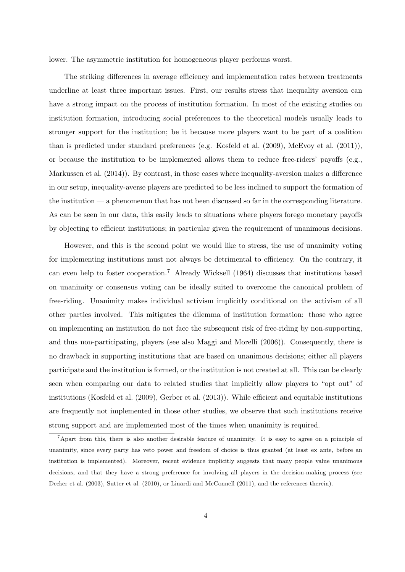lower. The asymmetric institution for homogeneous player performs worst.

The striking differences in average efficiency and implementation rates between treatments underline at least three important issues. First, our results stress that inequality aversion can have a strong impact on the process of institution formation. In most of the existing studies on institution formation, introducing social preferences to the theoretical models usually leads to stronger support for the institution; be it because more players want to be part of a coalition than is predicted under standard preferences (e.g. [Kosfeld et al.](#page-26-1) [\(2009\)](#page-26-1), [McEvoy et al.](#page-27-4) [\(2011\)](#page-27-4)), or because the institution to be implemented allows them to reduce free-riders' payoffs (e.g., [Markussen et al.](#page-27-2) [\(2014\)](#page-27-2)). By contrast, in those cases where inequality-aversion makes a difference in our setup, inequality-averse players are predicted to be less inclined to support the formation of the institution — a phenomenon that has not been discussed so far in the corresponding literature. As can be seen in our data, this easily leads to situations where players forego monetary payoffs by objecting to efficient institutions; in particular given the requirement of unanimous decisions.

However, and this is the second point we would like to stress, the use of unanimity voting for implementing institutions must not always be detrimental to efficiency. On the contrary, it can even help to foster cooperation.[7](#page-6-0) Already [Wicksell](#page-27-5) [\(1964\)](#page-27-5) discusses that institutions based on unanimity or consensus voting can be ideally suited to overcome the canonical problem of free-riding. Unanimity makes individual activism implicitly conditional on the activism of all other parties involved. This mitigates the dilemma of institution formation: those who agree on implementing an institution do not face the subsequent risk of free-riding by non-supporting, and thus non-participating, players (see also [Maggi and Morelli](#page-27-6) [\(2006\)](#page-27-6)). Consequently, there is no drawback in supporting institutions that are based on unanimous decisions; either all players participate and the institution is formed, or the institution is not created at all. This can be clearly seen when comparing our data to related studies that implicitly allow players to "opt out" of institutions [\(Kosfeld et al.](#page-26-1) [\(2009\)](#page-26-1), [Gerber et al.](#page-26-4) [\(2013\)](#page-26-4)). While efficient and equitable institutions are frequently not implemented in those other studies, we observe that such institutions receive strong support and are implemented most of the times when unanimity is required.

<span id="page-6-0"></span><sup>7</sup>Apart from this, there is also another desirable feature of unanimity. It is easy to agree on a principle of unanimity, since every party has veto power and freedom of choice is thus granted (at least ex ante, before an institution is implemented). Moreover, recent evidence implicitly suggests that many people value unanimous decisions, and that they have a strong preference for involving all players in the decision-making process (see [Decker et al.](#page-26-2) [\(2003\)](#page-26-2), [Sutter et al.](#page-27-7) [\(2010\)](#page-27-7), or [Linardi and McConnell](#page-27-8) [\(2011\)](#page-27-8), and the references therein).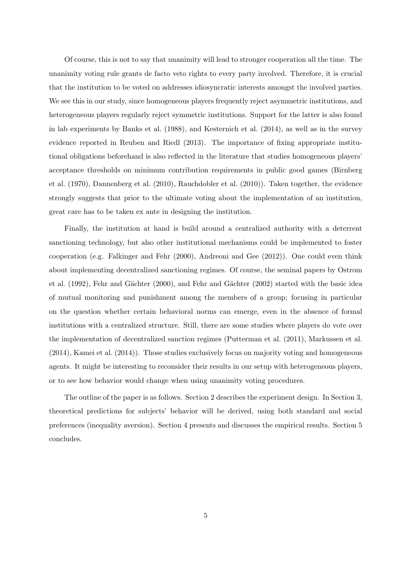Of course, this is not to say that unanimity will lead to stronger cooperation all the time. The unanimity voting rule grants de facto veto rights to every party involved. Therefore, it is crucial that the institution to be voted on addresses idiosyncratic interests amongst the involved parties. We see this in our study, since homogeneous players frequently reject asymmetric institutions, and heterogeneous players regularly reject symmetric institutions. Support for the latter is also found in lab experiments by [Banks et al.](#page-25-1) [\(1988\)](#page-25-1), and [Kesternich et al.](#page-26-6) [\(2014\)](#page-26-6), as well as in the survey evidence reported in [Reuben and Riedl](#page-27-9) [\(2013\)](#page-27-9). The importance of fixing appropriate institutional obligations beforehand is also reflected in the literature that studies homogeneous players' acceptance thresholds on minimum contribution requirements in public good games [\(Birnberg](#page-25-2) [et al.](#page-25-2) [\(1970\)](#page-25-2), [Dannenberg et al.](#page-26-7) [\(2010\)](#page-26-7), [Rauchdobler et al.](#page-27-10) [\(2010\)](#page-27-10)). Taken together, the evidence strongly suggests that prior to the ultimate voting about the implementation of an institution, great care has to be taken ex ante in designing the institution.

Finally, the institution at hand is build around a centralized authority with a deterrent sanctioning technology, but also other institutional mechanisms could be implemented to foster cooperation (e.g. [Falkinger and Fehr](#page-26-8) [\(2000\)](#page-26-8), [Andreoni and Gee](#page-25-3) [\(2012\)](#page-25-3)). One could even think about implementing decentralized sanctioning regimes. Of course, the seminal papers by [Ostrom](#page-27-11) [et al.](#page-27-11) [\(1992\)](#page-27-11), Fehr and Gächter [\(2000\)](#page-26-9), and Fehr and Gächter [\(2002\)](#page-26-10) started with the basic idea of mutual monitoring and punishment among the members of a group; focusing in particular on the question whether certain behavioral norms can emerge, even in the absence of formal institutions with a centralized structure. Still, there are some studies where players do vote over the implementation of decentralized sanction regimes [\(Putterman et al.](#page-27-12) [\(2011\)](#page-27-12), [Markussen et al.](#page-27-2) [\(2014\)](#page-27-2), [Kamei et al.](#page-26-3) [\(2014\)](#page-26-3)). Those studies exclusively focus on majority voting and homogeneous agents. It might be interesting to reconsider their results in our setup with heterogeneous players, or to see how behavior would change when using unanimity voting procedures.

The outline of the paper is as follows. Section 2 describes the experiment design. In Section 3, theoretical predictions for subjects' behavior will be derived, using both standard and social preferences (inequality aversion). Section 4 presents and discusses the empirical results. Section 5 concludes.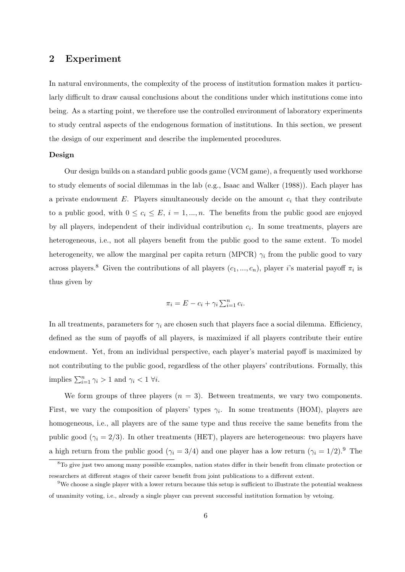# 2 Experiment

In natural environments, the complexity of the process of institution formation makes it particularly difficult to draw causal conclusions about the conditions under which institutions come into being. As a starting point, we therefore use the controlled environment of laboratory experiments to study central aspects of the endogenous formation of institutions. In this section, we present the design of our experiment and describe the implemented procedures.

#### Design

Our design builds on a standard public goods game (VCM game), a frequently used workhorse to study elements of social dilemmas in the lab (e.g., [Isaac and Walker](#page-26-11) [\(1988\)](#page-26-11)). Each player has a private endowment  $E$ . Players simultaneously decide on the amount  $c_i$  that they contribute to a public good, with  $0 \le c_i \le E$ ,  $i = 1, ..., n$ . The benefits from the public good are enjoyed by all players, independent of their individual contribution  $c_i$ . In some treatments, players are heterogeneous, i.e., not all players benefit from the public good to the same extent. To model heterogeneity, we allow the marginal per capita return (MPCR)  $\gamma_i$  from the public good to vary across players.<sup>[8](#page-8-0)</sup> Given the contributions of all players  $(c_1, ..., c_n)$ , player i's material payoff  $\pi_i$  is thus given by

$$
\pi_i = E - c_i + \gamma_i \sum_{i=1}^n c_i.
$$

In all treatments, parameters for  $\gamma_i$  are chosen such that players face a social dilemma. Efficiency, defined as the sum of payoffs of all players, is maximized if all players contribute their entire endowment. Yet, from an individual perspective, each player's material payoff is maximized by not contributing to the public good, regardless of the other players' contributions. Formally, this implies  $\sum_{i=1}^{n} \gamma_i > 1$  and  $\gamma_i < 1 \forall i$ .

We form groups of three players  $(n = 3)$ . Between treatments, we vary two components. First, we vary the composition of players' types  $\gamma_i$ . In some treatments (HOM), players are homogeneous, i.e., all players are of the same type and thus receive the same benefits from the public good ( $\gamma_i = 2/3$ ). In other treatments (HET), players are heterogeneous: two players have a high return from the public good ( $\gamma_i = 3/4$ ) and one player has a low return ( $\gamma_i = 1/2$ ).<sup>[9](#page-8-1)</sup> The

<span id="page-8-0"></span><sup>&</sup>lt;sup>8</sup>To give just two among many possible examples, nation states differ in their benefit from climate protection or researchers at different stages of their career benefit from joint publications to a different extent.

<span id="page-8-1"></span><sup>9</sup>We choose a single player with a lower return because this setup is sufficient to illustrate the potential weakness of unanimity voting, i.e., already a single player can prevent successful institution formation by vetoing.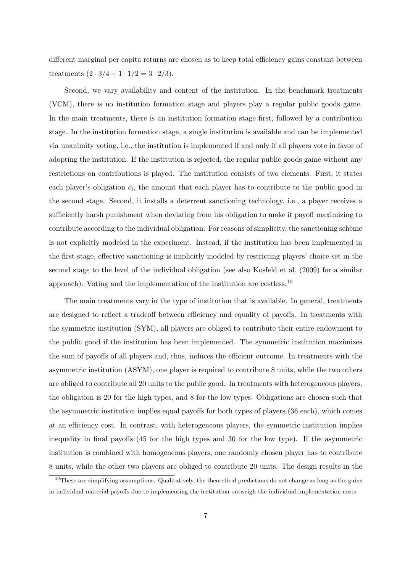different marginal per capita returns are chosen as to keep total efficiency gains constant between treatments  $(2 \cdot 3/4 + 1 \cdot 1/2 = 3 \cdot 2/3)$ .

Second, we vary availability and content of the institution. In the benchmark treatments (VCM), there is no institution formation stage and players play a regular public goods game. In the main treatments, there is an institution formation stage first, followed by a contribution stage. In the institution formation stage, a single institution is available and can be implemented via unanimity voting, i.e., the institution is implemented if and only if all players vote in favor of adopting the institution. If the institution is rejected, the regular public goods game without any restrictions on contributions is played. The institution consists of two elements. First, it states each player's obligation  $\bar{c}_i$ , the amount that each player has to contribute to the public good in the second stage. Second, it installs a deterrent sanctioning technology, i.e., a player receives a sufficiently harsh punishment when deviating from his obligation to make it payoff maximizing to contribute according to the individual obligation. For reasons of simplicity, the sanctioning scheme is not explicitly modeled in the experiment. Instead, if the institution has been implemented in the first stage, effective sanctioning is implicitly modeled by restricting players' choice set in the second stage to the level of the individual obligation (see also [Kosfeld et al.](#page-26-1) [\(2009\)](#page-26-1) for a similar approach). Voting and the implementation of the institution are costless.[10](#page-9-0)

The main treatments vary in the type of institution that is available. In general, treatments are designed to reflect a tradeoff between efficiency and equality of payoffs. In treatments with the symmetric institution (SYM), all players are obliged to contribute their entire endowment to the public good if the institution has been implemented. The symmetric institution maximizes the sum of payoffs of all players and, thus, induces the efficient outcome. In treatments with the asymmetric institution (ASYM), one player is required to contribute 8 units, while the two others are obliged to contribute all 20 units to the public good. In treatments with heterogeneous players, the obligation is 20 for the high types, and 8 for the low types. Obligations are chosen such that the asymmetric institution implies equal payoffs for both types of players (36 each), which comes at an efficiency cost. In contrast, with heterogeneous players, the symmetric institution implies inequality in final payoffs (45 for the high types and 30 for the low type). If the asymmetric institution is combined with homogeneous players, one randomly chosen player has to contribute 8 units, while the other two players are obliged to contribute 20 units. The design results in the

<span id="page-9-0"></span> $10$ These are simplifying assumptions. Qualitatively, the theoretical predictions do not change as long as the gains in individual material payoffs due to implementing the institution outweigh the individual implementation costs.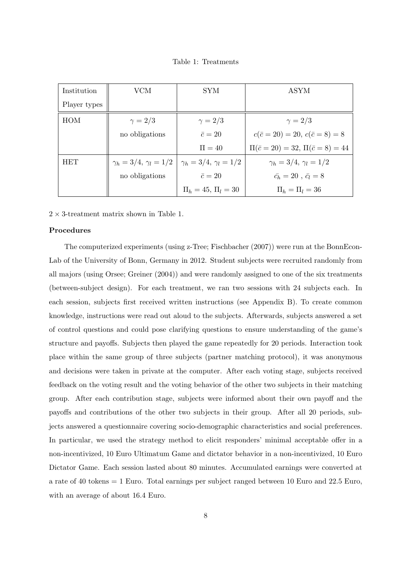Table 1: Treatments

<span id="page-10-0"></span>

| Institution  | VCM                                                                        | <b>SYM</b>               | ASYM                                       |
|--------------|----------------------------------------------------------------------------|--------------------------|--------------------------------------------|
| Player types |                                                                            |                          |                                            |
| <b>HOM</b>   | $\gamma = 2/3$                                                             | $\gamma = 2/3$           | $\gamma = 2/3$                             |
|              | no obligations                                                             | $\bar{c}=20$             | $c(\bar{c} = 20) = 20, c(\bar{c} = 8) = 8$ |
|              |                                                                            | $\Pi = 40$               | $\Pi(\bar{c}=20)=32, \, \Pi(\bar{c}=8)=44$ |
| <b>HET</b>   | $\gamma_h = 3/4, \, \gamma_l = 1/2 \mid \gamma_h = 3/4, \, \gamma_l = 1/2$ |                          | $\gamma_h = 3/4, \, \gamma_l = 1/2$        |
|              | no obligations                                                             | $\bar{c}=20$             | $\bar{c}_h=20$ , $\bar{c}_l=8$             |
|              |                                                                            | $\Pi_h = 45, \Pi_l = 30$ | $\Pi_h = \Pi_l = 36$                       |

 $2 \times 3$ -treatment matrix shown in Table [1.](#page-10-0)

#### Procedures

The computerized experiments (using z-Tree; [Fischbacher](#page-26-12) [\(2007\)](#page-26-12)) were run at the BonnEcon-Lab of the University of Bonn, Germany in 2012. Student subjects were recruited randomly from all majors (using Orsee; [Greiner](#page-26-13) [\(2004\)](#page-26-13)) and were randomly assigned to one of the six treatments (between-subject design). For each treatment, we ran two sessions with 24 subjects each. In each session, subjects first received written instructions (see Appendix [B\)](#page-39-0). To create common knowledge, instructions were read out aloud to the subjects. Afterwards, subjects answered a set of control questions and could pose clarifying questions to ensure understanding of the game's structure and payoffs. Subjects then played the game repeatedly for 20 periods. Interaction took place within the same group of three subjects (partner matching protocol), it was anonymous and decisions were taken in private at the computer. After each voting stage, subjects received feedback on the voting result and the voting behavior of the other two subjects in their matching group. After each contribution stage, subjects were informed about their own payoff and the payoffs and contributions of the other two subjects in their group. After all 20 periods, subjects answered a questionnaire covering socio-demographic characteristics and social preferences. In particular, we used the strategy method to elicit responders' minimal acceptable offer in a non-incentivized, 10 Euro Ultimatum Game and dictator behavior in a non-incentivized, 10 Euro Dictator Game. Each session lasted about 80 minutes. Accumulated earnings were converted at a rate of 40 tokens = 1 Euro. Total earnings per subject ranged between 10 Euro and 22.5 Euro, with an average of about 16.4 Euro.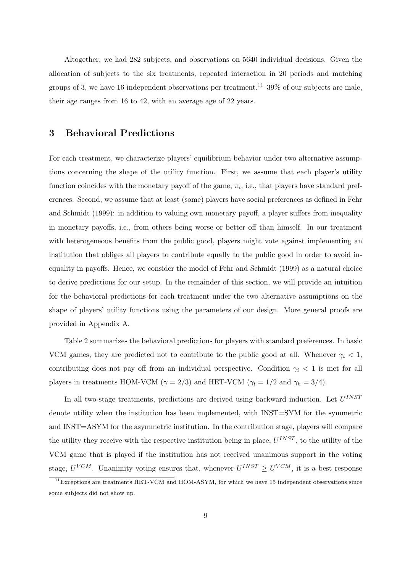Altogether, we had 282 subjects, and observations on 5640 individual decisions. Given the allocation of subjects to the six treatments, repeated interaction in 20 periods and matching groups of 3, we have 16 independent observations per treatment.<sup>[11](#page-11-0)</sup> 39% of our subjects are male. their age ranges from 16 to 42, with an average age of 22 years.

# <span id="page-11-1"></span>3 Behavioral Predictions

For each treatment, we characterize players' equilibrium behavior under two alternative assumptions concerning the shape of the utility function. First, we assume that each player's utility function coincides with the monetary payoff of the game,  $\pi_i$ , i.e., that players have standard preferences. Second, we assume that at least (some) players have social preferences as defined in [Fehr](#page-26-14) [and Schmidt](#page-26-14) [\(1999\)](#page-26-14): in addition to valuing own monetary payoff, a player suffers from inequality in monetary payoffs, i.e., from others being worse or better off than himself. In our treatment with heterogeneous benefits from the public good, players might vote against implementing an institution that obliges all players to contribute equally to the public good in order to avoid inequality in payoffs. Hence, we consider the model of [Fehr and Schmidt](#page-26-14) [\(1999\)](#page-26-14) as a natural choice to derive predictions for our setup. In the remainder of this section, we will provide an intuition for the behavioral predictions for each treatment under the two alternative assumptions on the shape of players' utility functions using the parameters of our design. More general proofs are provided in Appendix [A.](#page-28-0)

Table [2](#page-12-0) summarizes the behavioral predictions for players with standard preferences. In basic VCM games, they are predicted not to contribute to the public good at all. Whenever  $\gamma_i < 1$ , contributing does not pay off from an individual perspective. Condition  $\gamma_i$  < 1 is met for all players in treatments HOM-VCM ( $\gamma = 2/3$ ) and HET-VCM ( $\gamma_l = 1/2$  and  $\gamma_h = 3/4$ ).

In all two-stage treatments, predictions are derived using backward induction. Let  $U^{INST}$ denote utility when the institution has been implemented, with INST=SYM for the symmetric and INST=ASYM for the asymmetric institution. In the contribution stage, players will compare the utility they receive with the respective institution being in place,  $U^{INST}$ , to the utility of the VCM game that is played if the institution has not received unanimous support in the voting stage,  $U^{VCM}$ . Unanimity voting ensures that, whenever  $U^{INST} \geq U^{VCM}$ , it is a best response

<span id="page-11-0"></span> $11$ Exceptions are treatments HET-VCM and HOM-ASYM, for which we have 15 independent observations since some subjects did not show up.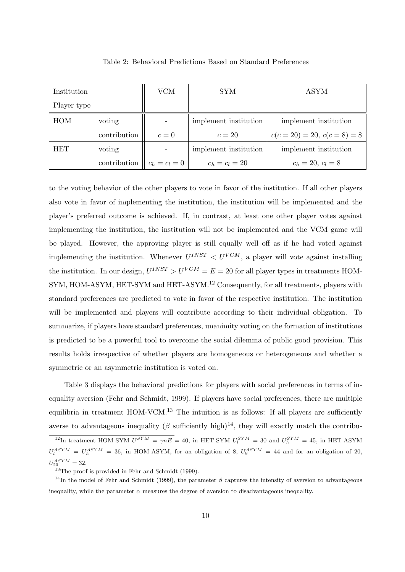<span id="page-12-0"></span>

| Institution |              | VCM             | <b>SYM</b>            | ASYM                                       |
|-------------|--------------|-----------------|-----------------------|--------------------------------------------|
| Player type |              |                 |                       |                                            |
| <b>HOM</b>  | voting       |                 | implement institution | implement institution                      |
|             | contribution | $c=0$           | $c=20$                | $c(\bar{c} = 20) = 20, c(\bar{c} = 8) = 8$ |
| <b>HET</b>  | voting       |                 | implement institution | implement institution                      |
|             | contribution | $c_h = c_l = 0$ | $c_h = c_l = 20$      | $c_h = 20, c_l = 8$                        |

Table 2: Behavioral Predictions Based on Standard Preferences

to the voting behavior of the other players to vote in favor of the institution. If all other players also vote in favor of implementing the institution, the institution will be implemented and the player's preferred outcome is achieved. If, in contrast, at least one other player votes against implementing the institution, the institution will not be implemented and the VCM game will be played. However, the approving player is still equally well off as if he had voted against implementing the institution. Whenever  $U^{INST} < U^{VCM}$ , a player will vote against installing the institution. In our design,  $U^{INST} > U^{VCM} = E = 20$  for all player types in treatments HOM-SYM, HOM-ASYM, HET-SYM and HET-ASYM.<sup>[12](#page-12-1)</sup> Consequently, for all treatments, players with standard preferences are predicted to vote in favor of the respective institution. The institution will be implemented and players will contribute according to their individual obligation. To summarize, if players have standard preferences, unanimity voting on the formation of institutions is predicted to be a powerful tool to overcome the social dilemma of public good provision. This results holds irrespective of whether players are homogeneous or heterogeneous and whether a symmetric or an asymmetric institution is voted on.

Table [3](#page-14-0) displays the behavioral predictions for players with social preferences in terms of inequality aversion [\(Fehr and Schmidt,](#page-26-14) [1999\)](#page-26-14). If players have social preferences, there are multiple equilibria in treatment  $HOM-VCM<sup>13</sup>$  $HOM-VCM<sup>13</sup>$  $HOM-VCM<sup>13</sup>$ . The intuition is as follows: If all players are sufficiently averse to advantageous inequality ( $\beta$  sufficiently high)<sup>[14](#page-12-3)</sup>, they will exactly match the contribu-

<span id="page-12-1"></span><sup>12</sup>In treatment HOM-SYM  $U^{SYM} = \gamma nE = 40$ , in HET-SYM  $U^{SYM}_l = 30$  and  $U^{SYM}_h = 45$ , in HET-ASYM  $U_l^{ASYM} = U_h^{ASYM} = 36$ , in HOM-ASYM, for an obligation of 8,  $U_8^{ASYM} = 44$  and for an obligation of 20,  $U_{20}^{ASYM} = 32.$ 

<span id="page-12-3"></span><span id="page-12-2"></span><sup>&</sup>lt;sup>13</sup>The proof is provided in [Fehr and Schmidt](#page-26-14) [\(1999\)](#page-26-14).

<sup>&</sup>lt;sup>14</sup>In the model of [Fehr and Schmidt](#page-26-14) [\(1999\)](#page-26-14), the parameter  $\beta$  captures the intensity of aversion to advantageous inequality, while the parameter  $\alpha$  measures the degree of aversion to disadvantageous inequality.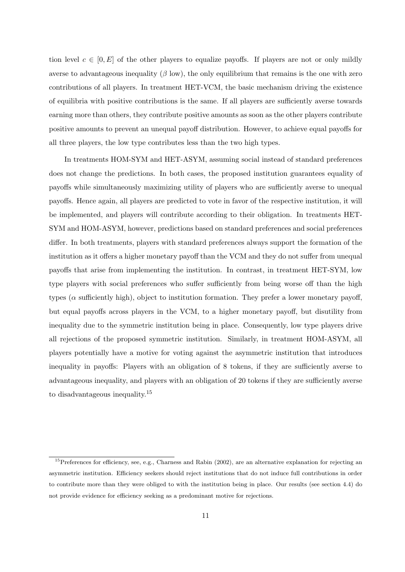tion level  $c \in [0, E]$  of the other players to equalize payoffs. If players are not or only mildly averse to advantageous inequality  $(\beta \text{ low})$ , the only equilibrium that remains is the one with zero contributions of all players. In treatment HET-VCM, the basic mechanism driving the existence of equilibria with positive contributions is the same. If all players are sufficiently averse towards earning more than others, they contribute positive amounts as soon as the other players contribute positive amounts to prevent an unequal payoff distribution. However, to achieve equal payoffs for all three players, the low type contributes less than the two high types.

In treatments HOM-SYM and HET-ASYM, assuming social instead of standard preferences does not change the predictions. In both cases, the proposed institution guarantees equality of payoffs while simultaneously maximizing utility of players who are sufficiently averse to unequal payoffs. Hence again, all players are predicted to vote in favor of the respective institution, it will be implemented, and players will contribute according to their obligation. In treatments HET-SYM and HOM-ASYM, however, predictions based on standard preferences and social preferences differ. In both treatments, players with standard preferences always support the formation of the institution as it offers a higher monetary payoff than the VCM and they do not suffer from unequal payoffs that arise from implementing the institution. In contrast, in treatment HET-SYM, low type players with social preferences who suffer sufficiently from being worse off than the high types ( $\alpha$  sufficiently high), object to institution formation. They prefer a lower monetary payoff, but equal payoffs across players in the VCM, to a higher monetary payoff, but disutility from inequality due to the symmetric institution being in place. Consequently, low type players drive all rejections of the proposed symmetric institution. Similarly, in treatment HOM-ASYM, all players potentially have a motive for voting against the asymmetric institution that introduces inequality in payoffs: Players with an obligation of 8 tokens, if they are sufficiently averse to advantageous inequality, and players with an obligation of 20 tokens if they are sufficiently averse to disadvantageous inequality.[15](#page-13-0)

<span id="page-13-0"></span> $^{15}$ Preferences for efficiency, see, e.g., [Charness and Rabin](#page-25-4) [\(2002\)](#page-25-4), are an alternative explanation for rejecting an asymmetric institution. Efficiency seekers should reject institutions that do not induce full contributions in order to contribute more than they were obliged to with the institution being in place. Our results (see section [4.4\)](#page-21-0) do not provide evidence for efficiency seeking as a predominant motive for rejections.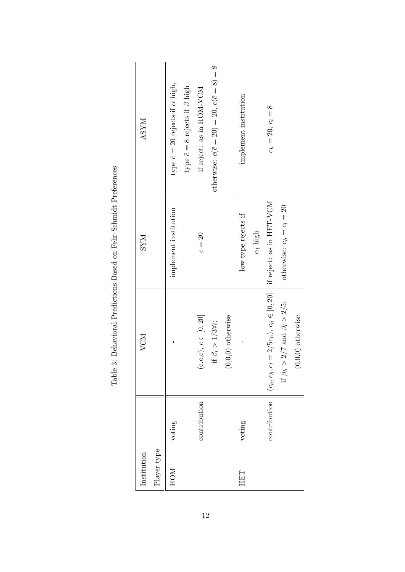| Institution |              | NCM                                                 | <b>NLXS</b>                 | MXSY                                          |
|-------------|--------------|-----------------------------------------------------|-----------------------------|-----------------------------------------------|
| Player type |              |                                                     |                             |                                               |
| HOM         | voting       |                                                     | implement institution       | type $\bar{c} = 20$ rejects if $\alpha$ high, |
|             |              |                                                     |                             | type $\bar{c} = 8$ rejects if $\beta$ high    |
|             | contribution | $\left[c,c,c\right),\,c\in\left[0,20\right]$        | $c = 20$                    | if reject: as in HOM-VCM                      |
|             |              | if $\beta_i > 1/3 \forall i;$                       |                             | otherwise: $c(\bar{c}=20)=20, c(\bar{c}=8)=8$ |
|             |              | $(0,0,0)$ otherwise                                 |                             |                                               |
| HET         | voting       |                                                     | low type rejects if         | implement institution                         |
|             |              |                                                     | $\alpha_l$ high             |                                               |
|             | contribution | $c_l = 2/5c_h$ ), $c_h \in [0, 20]$<br>$(c_h, c_h,$ | if reject: as in HET-VCM    | $c_h = 20, c_l = 8$                           |
|             |              | $>2/7$ and $\beta_l > 2/5;$<br>if $\beta_h$         | otherwise: $c_h = c_l = 20$ |                                               |
|             |              | $(0,0,0)$ otherwise                                 |                             |                                               |

<span id="page-14-0"></span>Table 3: Behavioral Predictions Based on Fehr-Schmidt Preferences Table 3: Behavioral Predictions Based on Fehr-Schmidt Preferences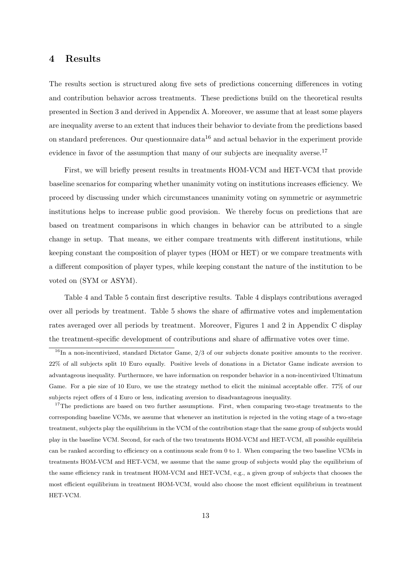# 4 Results

The results section is structured along five sets of predictions concerning differences in voting and contribution behavior across treatments. These predictions build on the theoretical results presented in Section [3](#page-11-1) and derived in Appendix [A.](#page-28-0) Moreover, we assume that at least some players are inequality averse to an extent that induces their behavior to deviate from the predictions based on standard preferences. Our questionnaire data[16](#page-15-0) and actual behavior in the experiment provide evidence in favor of the assumption that many of our subjects are inequality averse.<sup>[17](#page-15-1)</sup>

First, we will briefly present results in treatments HOM-VCM and HET-VCM that provide baseline scenarios for comparing whether unanimity voting on institutions increases efficiency. We proceed by discussing under which circumstances unanimity voting on symmetric or asymmetric institutions helps to increase public good provision. We thereby focus on predictions that are based on treatment comparisons in which changes in behavior can be attributed to a single change in setup. That means, we either compare treatments with different institutions, while keeping constant the composition of player types (HOM or HET) or we compare treatments with a different composition of player types, while keeping constant the nature of the institution to be voted on (SYM or ASYM).

Table [4](#page-16-0) and Table [5](#page-16-1) contain first descriptive results. Table [4](#page-16-0) displays contributions averaged over all periods by treatment. Table [5](#page-16-1) shows the share of affirmative votes and implementation rates averaged over all periods by treatment. Moreover, Figures [1](#page-44-0) and [2](#page-45-0) in Appendix [C](#page-44-1) display the treatment-specific development of contributions and share of affirmative votes over time.

<span id="page-15-0"></span><sup>&</sup>lt;sup>16</sup>In a non-incentivized, standard Dictator Game, 2/3 of our subjects donate positive amounts to the receiver. 22% of all subjects split 10 Euro equally. Positive levels of donations in a Dictator Game indicate aversion to advantageous inequality. Furthermore, we have information on responder behavior in a non-incentivized Ultimatum Game. For a pie size of 10 Euro, we use the strategy method to elicit the minimal acceptable offer. 77% of our subjects reject offers of 4 Euro or less, indicating aversion to disadvantageous inequality.

<span id="page-15-1"></span><sup>&</sup>lt;sup>17</sup>The predictions are based on two further assumptions. First, when comparing two-stage treatments to the corresponding baseline VCMs, we assume that whenever an institution is rejected in the voting stage of a two-stage treatment, subjects play the equilibrium in the VCM of the contribution stage that the same group of subjects would play in the baseline VCM. Second, for each of the two treatments HOM-VCM and HET-VCM, all possible equilibria can be ranked according to efficiency on a continuous scale from 0 to 1. When comparing the two baseline VCMs in treatments HOM-VCM and HET-VCM, we assume that the same group of subjects would play the equilibrium of the same efficiency rank in treatment HOM-VCM and HET-VCM, e.g., a given group of subjects that chooses the most efficient equilibrium in treatment HOM-VCM, would also choose the most efficient equilibrium in treatment HET-VCM.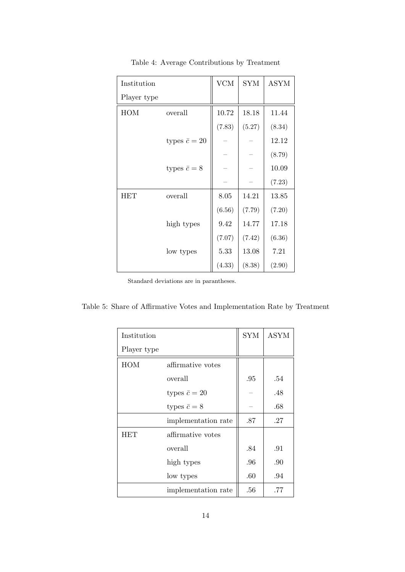<span id="page-16-0"></span>

| Institution |                    | <b>VCM</b> | <b>SYM</b> | <b>ASYM</b> |
|-------------|--------------------|------------|------------|-------------|
| Player type |                    |            |            |             |
| HOM         | overall            | 10.72      | 18.18      | 11.44       |
|             |                    | (7.83)     | (5.27)     | (8.34)      |
|             | types $\bar{c}=20$ |            |            | 12.12       |
|             |                    |            |            | (8.79)      |
|             | types $\bar{c}=8$  |            |            | 10.09       |
|             |                    |            |            | (7.23)      |
| <b>HET</b>  | overall            | 8.05       | 14.21      | 13.85       |
|             |                    | (6.56)     | (7.79)     | (7.20)      |
|             | high types         | 9.42       | 14.77      | 17.18       |
|             |                    | (7.07)     | (7.42)     | (6.36)      |
|             | low types          | 5.33       | 13.08      | 7.21        |
|             |                    | (4.33)     | (8.38)     | (2.90)      |

Table 4: Average Contributions by Treatment

Standard deviations are in parantheses.

<span id="page-16-1"></span>Table 5: Share of Affirmative Votes and Implementation Rate by Treatment

| Institution |                      | <b>SYM</b> | <b>ASYM</b> |
|-------------|----------------------|------------|-------------|
| Player type |                      |            |             |
| <b>HOM</b>  | affirmative votes    |            |             |
|             | overall              | .95        | .54         |
|             | types $\bar{c} = 20$ |            | .48         |
|             | types $\bar{c}=8$    |            | .68         |
|             | implementation rate  | .87        | .27         |
| <b>HET</b>  | affirmative votes    |            |             |
|             | overall              | .84        | .91         |
|             | high types           | .96        | .90         |
|             | low types            | .60        | .94         |
|             | implementation rate  | .56        | .77         |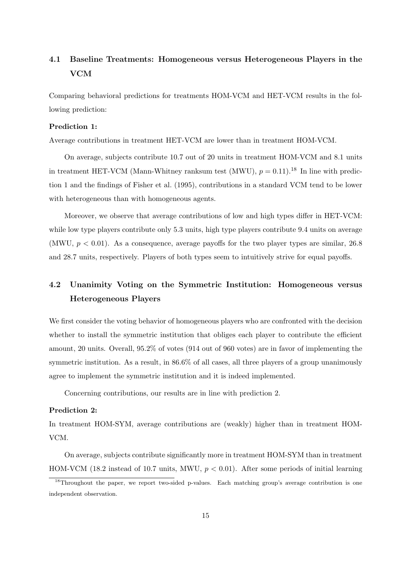# 4.1 Baseline Treatments: Homogeneous versus Heterogeneous Players in the VCM

Comparing behavioral predictions for treatments HOM-VCM and HET-VCM results in the following prediction:

### Prediction 1:

Average contributions in treatment HET-VCM are lower than in treatment HOM-VCM.

On average, subjects contribute 10.7 out of 20 units in treatment HOM-VCM and 8.1 units in treatment HET-VCM (Mann-Whitney ranksum test (MWU),  $p = 0.11$ ).<sup>[18](#page-17-0)</sup> In line with prediction 1 and the findings of [Fisher et al.](#page-26-15) [\(1995\)](#page-26-15), contributions in a standard VCM tend to be lower with heterogeneous than with homogeneous agents.

Moreover, we observe that average contributions of low and high types differ in HET-VCM: while low type players contribute only 5.3 units, high type players contribute 9.4 units on average (MWU,  $p < 0.01$ ). As a consequence, average payoffs for the two player types are similar, 26.8 and 28.7 units, respectively. Players of both types seem to intuitively strive for equal payoffs.

# 4.2 Unanimity Voting on the Symmetric Institution: Homogeneous versus Heterogeneous Players

We first consider the voting behavior of homogeneous players who are confronted with the decision whether to install the symmetric institution that obliges each player to contribute the efficient amount, 20 units. Overall, 95.2% of votes (914 out of 960 votes) are in favor of implementing the symmetric institution. As a result, in 86.6% of all cases, all three players of a group unanimously agree to implement the symmetric institution and it is indeed implemented.

Concerning contributions, our results are in line with prediction 2.

#### Prediction 2:

In treatment HOM-SYM, average contributions are (weakly) higher than in treatment HOM-VCM.

On average, subjects contribute significantly more in treatment HOM-SYM than in treatment HOM-VCM (18.2 instead of 10.7 units, MWU,  $p < 0.01$ ). After some periods of initial learning

<span id="page-17-0"></span><sup>&</sup>lt;sup>18</sup>Throughout the paper, we report two-sided p-values. Each matching group's average contribution is one independent observation.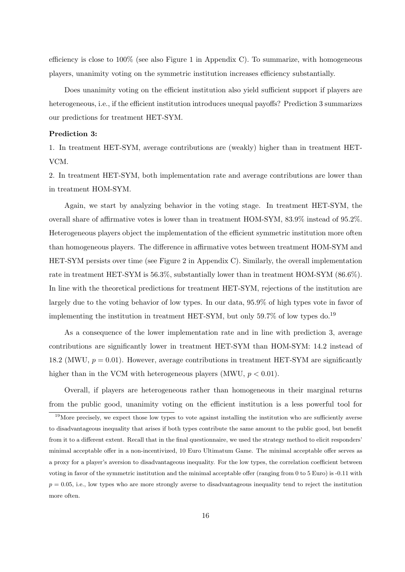efficiency is close to  $100\%$  $100\%$  (see also Figure 1 in Appendix [C\)](#page-44-1). To summarize, with homogeneous players, unanimity voting on the symmetric institution increases efficiency substantially.

Does unanimity voting on the efficient institution also yield sufficient support if players are heterogeneous, i.e., if the efficient institution introduces unequal payoffs? Prediction 3 summarizes our predictions for treatment HET-SYM.

# Prediction 3:

1. In treatment HET-SYM, average contributions are (weakly) higher than in treatment HET-VCM.

2. In treatment HET-SYM, both implementation rate and average contributions are lower than in treatment HOM-SYM.

Again, we start by analyzing behavior in the voting stage. In treatment HET-SYM, the overall share of affirmative votes is lower than in treatment HOM-SYM, 83.9% instead of 95.2%. Heterogeneous players object the implementation of the efficient symmetric institution more often than homogeneous players. The difference in affirmative votes between treatment HOM-SYM and HET-SYM persists over time (see Figure [2](#page-45-0) in Appendix [C\)](#page-44-1). Similarly, the overall implementation rate in treatment HET-SYM is 56.3%, substantially lower than in treatment HOM-SYM (86.6%). In line with the theoretical predictions for treatment HET-SYM, rejections of the institution are largely due to the voting behavior of low types. In our data, 95.9% of high types vote in favor of implementing the institution in treatment HET-SYM, but only  $59.7\%$  of low types do.<sup>[19](#page-18-0)</sup>

As a consequence of the lower implementation rate and in line with prediction 3, average contributions are significantly lower in treatment HET-SYM than HOM-SYM: 14.2 instead of 18.2 (MWU,  $p = 0.01$ ). However, average contributions in treatment HET-SYM are significantly higher than in the VCM with heterogeneous players (MWU,  $p < 0.01$ ).

Overall, if players are heterogeneous rather than homogeneous in their marginal returns from the public good, unanimity voting on the efficient institution is a less powerful tool for

<span id="page-18-0"></span> $19$ More precisely, we expect those low types to vote against installing the institution who are sufficiently averse to disadvantageous inequality that arises if both types contribute the same amount to the public good, but benefit from it to a different extent. Recall that in the final questionnaire, we used the strategy method to elicit responders' minimal acceptable offer in a non-incentivized, 10 Euro Ultimatum Game. The minimal acceptable offer serves as a proxy for a player's aversion to disadvantageous inequality. For the low types, the correlation coefficient between voting in favor of the symmetric institution and the minimal acceptable offer (ranging from 0 to 5 Euro) is -0.11 with  $p = 0.05$ , i.e., low types who are more strongly averse to disadvantageous inequality tend to reject the institution more often.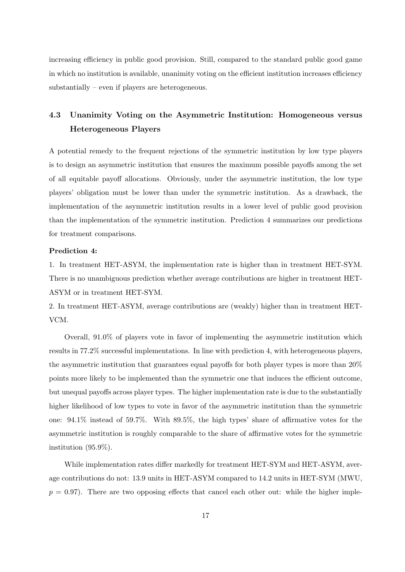increasing efficiency in public good provision. Still, compared to the standard public good game in which no institution is available, unanimity voting on the efficient institution increases efficiency substantially – even if players are heterogeneous.

# 4.3 Unanimity Voting on the Asymmetric Institution: Homogeneous versus Heterogeneous Players

A potential remedy to the frequent rejections of the symmetric institution by low type players is to design an asymmetric institution that ensures the maximum possible payoffs among the set of all equitable payoff allocations. Obviously, under the asymmetric institution, the low type players' obligation must be lower than under the symmetric institution. As a drawback, the implementation of the asymmetric institution results in a lower level of public good provision than the implementation of the symmetric institution. Prediction 4 summarizes our predictions for treatment comparisons.

# Prediction 4:

1. In treatment HET-ASYM, the implementation rate is higher than in treatment HET-SYM. There is no unambiguous prediction whether average contributions are higher in treatment HET-ASYM or in treatment HET-SYM.

2. In treatment HET-ASYM, average contributions are (weakly) higher than in treatment HET-VCM.

Overall, 91.0% of players vote in favor of implementing the asymmetric institution which results in 77.2% successful implementations. In line with prediction 4, with heterogeneous players, the asymmetric institution that guarantees equal payoffs for both player types is more than 20% points more likely to be implemented than the symmetric one that induces the efficient outcome, but unequal payoffs across player types. The higher implementation rate is due to the substantially higher likelihood of low types to vote in favor of the asymmetric institution than the symmetric one: 94.1% instead of 59.7%. With 89.5%, the high types' share of affirmative votes for the asymmetric institution is roughly comparable to the share of affirmative votes for the symmetric institution (95.9%).

While implementation rates differ markedly for treatment HET-SYM and HET-ASYM, average contributions do not: 13.9 units in HET-ASYM compared to 14.2 units in HET-SYM (MWU,  $p = 0.97$ . There are two opposing effects that cancel each other out: while the higher imple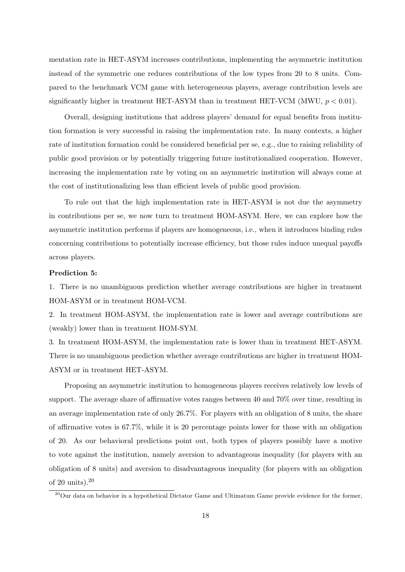mentation rate in HET-ASYM increases contributions, implementing the asymmetric institution instead of the symmetric one reduces contributions of the low types from 20 to 8 units. Compared to the benchmark VCM game with heterogeneous players, average contribution levels are significantly higher in treatment HET-ASYM than in treatment HET-VCM (MWU,  $p < 0.01$ ).

Overall, designing institutions that address players' demand for equal benefits from institution formation is very successful in raising the implementation rate. In many contexts, a higher rate of institution formation could be considered beneficial per se, e.g., due to raising reliability of public good provision or by potentially triggering future institutionalized cooperation. However, increasing the implementation rate by voting on an asymmetric institution will always come at the cost of institutionalizing less than efficient levels of public good provision.

To rule out that the high implementation rate in HET-ASYM is not due the asymmetry in contributions per se, we now turn to treatment HOM-ASYM. Here, we can explore how the asymmetric institution performs if players are homogeneous, i.e., when it introduces binding rules concerning contributions to potentially increase efficiency, but those rules induce unequal payoffs across players.

### Prediction 5:

1. There is no unambiguous prediction whether average contributions are higher in treatment HOM-ASYM or in treatment HOM-VCM.

2. In treatment HOM-ASYM, the implementation rate is lower and average contributions are (weakly) lower than in treatment HOM-SYM.

3. In treatment HOM-ASYM, the implementation rate is lower than in treatment HET-ASYM. There is no unambiguous prediction whether average contributions are higher in treatment HOM-ASYM or in treatment HET-ASYM.

Proposing an asymmetric institution to homogeneous players receives relatively low levels of support. The average share of affirmative votes ranges between 40 and 70% over time, resulting in an average implementation rate of only 26.7%. For players with an obligation of 8 units, the share of affirmative votes is 67.7%, while it is 20 percentage points lower for those with an obligation of 20. As our behavioral predictions point out, both types of players possibly have a motive to vote against the institution, namely aversion to advantageous inequality (for players with an obligation of 8 units) and aversion to disadvantageous inequality (for players with an obligation of 20 units).[20](#page-20-0)

<span id="page-20-0"></span> $20$ Our data on behavior in a hypothetical Dictator Game and Ultimatum Game provide evidence for the former,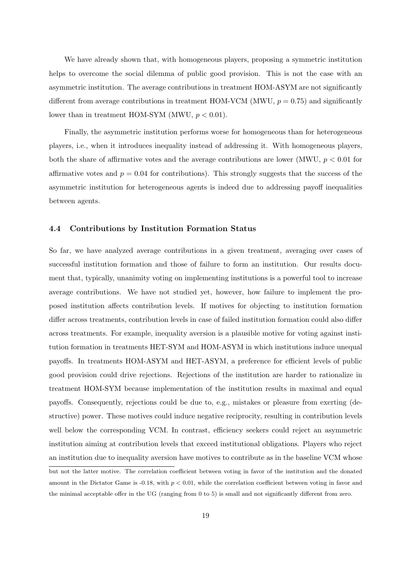We have already shown that, with homogeneous players, proposing a symmetric institution helps to overcome the social dilemma of public good provision. This is not the case with an asymmetric institution. The average contributions in treatment HOM-ASYM are not significantly different from average contributions in treatment HOM-VCM (MWU,  $p = 0.75$ ) and significantly lower than in treatment HOM-SYM (MWU,  $p < 0.01$ ).

Finally, the asymmetric institution performs worse for homogeneous than for heterogeneous players, i.e., when it introduces inequality instead of addressing it. With homogeneous players, both the share of affirmative votes and the average contributions are lower (MWU,  $p < 0.01$  for affirmative votes and  $p = 0.04$  for contributions). This strongly suggests that the success of the asymmetric institution for heterogeneous agents is indeed due to addressing payoff inequalities between agents.

### <span id="page-21-0"></span>4.4 Contributions by Institution Formation Status

So far, we have analyzed average contributions in a given treatment, averaging over cases of successful institution formation and those of failure to form an institution. Our results document that, typically, unanimity voting on implementing institutions is a powerful tool to increase average contributions. We have not studied yet, however, how failure to implement the proposed institution affects contribution levels. If motives for objecting to institution formation differ across treatments, contribution levels in case of failed institution formation could also differ across treatments. For example, inequality aversion is a plausible motive for voting against institution formation in treatments HET-SYM and HOM-ASYM in which institutions induce unequal payoffs. In treatments HOM-ASYM and HET-ASYM, a preference for efficient levels of public good provision could drive rejections. Rejections of the institution are harder to rationalize in treatment HOM-SYM because implementation of the institution results in maximal and equal payoffs. Consequently, rejections could be due to, e.g., mistakes or pleasure from exerting (destructive) power. These motives could induce negative reciprocity, resulting in contribution levels well below the corresponding VCM. In contrast, efficiency seekers could reject an asymmetric institution aiming at contribution levels that exceed institutional obligations. Players who reject an institution due to inequality aversion have motives to contribute as in the baseline VCM whose but not the latter motive. The correlation coefficient between voting in favor of the institution and the donated amount in the Dictator Game is  $-0.18$ , with  $p < 0.01$ , while the correlation coefficient between voting in favor and the minimal acceptable offer in the UG (ranging from 0 to 5) is small and not significantly different from zero.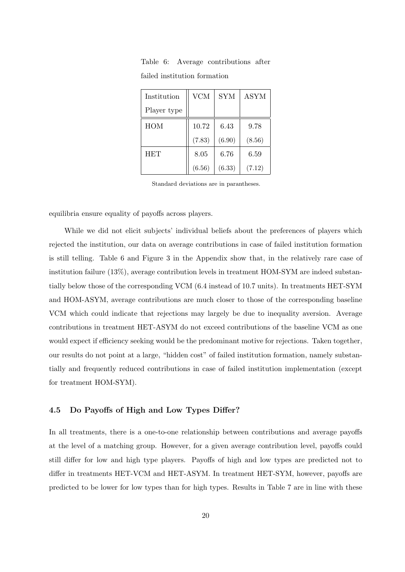| Institution | <b>VCM</b> | <b>SYM</b> | <b>ASYM</b> |
|-------------|------------|------------|-------------|
| Player type |            |            |             |
| <b>HOM</b>  | 10.72      | 6.43       | 9.78        |
|             | (7.83)     | (6.90)     | (8.56)      |
| <b>HET</b>  | 8.05       | 6.76       | 6.59        |
|             | (6.56)     | (6.33)     | (7.12)      |

<span id="page-22-0"></span>Table 6: Average contributions after failed institution formation

Standard deviations are in parantheses.

equilibria ensure equality of payoffs across players.

While we did not elicit subjects' individual beliefs about the preferences of players which rejected the institution, our data on average contributions in case of failed institution formation is still telling. Table [6](#page-22-0) and Figure [3](#page-45-1) in the Appendix show that, in the relatively rare case of institution failure (13%), average contribution levels in treatment HOM-SYM are indeed substantially below those of the corresponding VCM (6.4 instead of 10.7 units). In treatments HET-SYM and HOM-ASYM, average contributions are much closer to those of the corresponding baseline VCM which could indicate that rejections may largely be due to inequality aversion. Average contributions in treatment HET-ASYM do not exceed contributions of the baseline VCM as one would expect if efficiency seeking would be the predominant motive for rejections. Taken together, our results do not point at a large, "hidden cost" of failed institution formation, namely substantially and frequently reduced contributions in case of failed institution implementation (except for treatment HOM-SYM).

### 4.5 Do Payoffs of High and Low Types Differ?

In all treatments, there is a one-to-one relationship between contributions and average payoffs at the level of a matching group. However, for a given average contribution level, payoffs could still differ for low and high type players. Payoffs of high and low types are predicted not to differ in treatments HET-VCM and HET-ASYM. In treatment HET-SYM, however, payoffs are predicted to be lower for low types than for high types. Results in Table [7](#page-23-0) are in line with these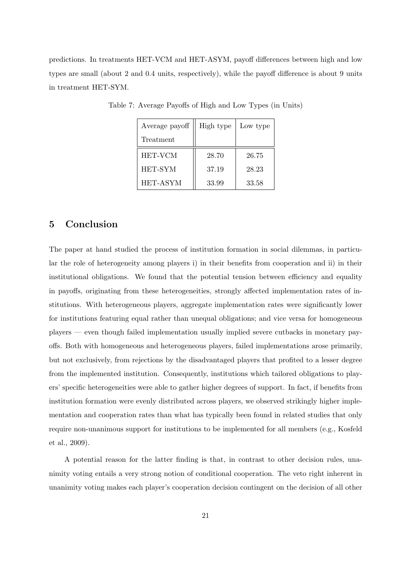<span id="page-23-0"></span>predictions. In treatments HET-VCM and HET-ASYM, payoff differences between high and low types are small (about 2 and 0.4 units, respectively), while the payoff difference is about 9 units in treatment HET-SYM.

| Average payoff  | High type | Low type |
|-----------------|-----------|----------|
| Treatment       |           |          |
| <b>HET-VCM</b>  | 28.70     | 26.75    |
| <b>HET-SYM</b>  | 37.19     | 28.23    |
| <b>HET-ASYM</b> | 33.99     | 33.58    |

Table 7: Average Payoffs of High and Low Types (in Units)

# 5 Conclusion

The paper at hand studied the process of institution formation in social dilemmas, in particular the role of heterogeneity among players i) in their benefits from cooperation and ii) in their institutional obligations. We found that the potential tension between efficiency and equality in payoffs, originating from these heterogeneities, strongly affected implementation rates of institutions. With heterogeneous players, aggregate implementation rates were significantly lower for institutions featuring equal rather than unequal obligations; and vice versa for homogeneous players — even though failed implementation usually implied severe cutbacks in monetary payoffs. Both with homogeneous and heterogeneous players, failed implementations arose primarily, but not exclusively, from rejections by the disadvantaged players that profited to a lesser degree from the implemented institution. Consequently, institutions which tailored obligations to players' specific heterogeneities were able to gather higher degrees of support. In fact, if benefits from institution formation were evenly distributed across players, we observed strikingly higher implementation and cooperation rates than what has typically been found in related studies that only require non-unanimous support for institutions to be implemented for all members (e.g., [Kosfeld](#page-26-1) [et al.,](#page-26-1) [2009\)](#page-26-1).

A potential reason for the latter finding is that, in contrast to other decision rules, unanimity voting entails a very strong notion of conditional cooperation. The veto right inherent in unanimity voting makes each player's cooperation decision contingent on the decision of all other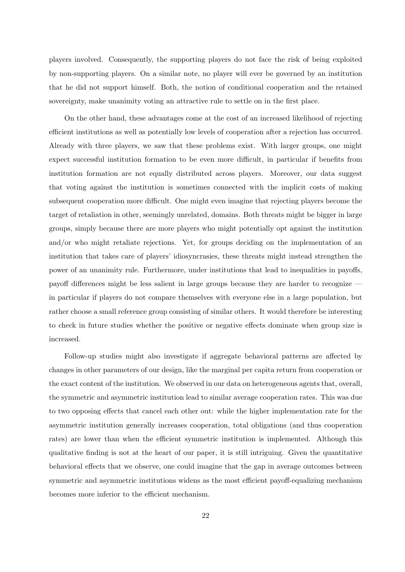players involved. Consequently, the supporting players do not face the risk of being exploited by non-supporting players. On a similar note, no player will ever be governed by an institution that he did not support himself. Both, the notion of conditional cooperation and the retained sovereignty, make unanimity voting an attractive rule to settle on in the first place.

On the other hand, these advantages come at the cost of an increased likelihood of rejecting efficient institutions as well as potentially low levels of cooperation after a rejection has occurred. Already with three players, we saw that these problems exist. With larger groups, one might expect successful institution formation to be even more difficult, in particular if benefits from institution formation are not equally distributed across players. Moreover, our data suggest that voting against the institution is sometimes connected with the implicit costs of making subsequent cooperation more difficult. One might even imagine that rejecting players become the target of retaliation in other, seemingly unrelated, domains. Both threats might be bigger in large groups, simply because there are more players who might potentially opt against the institution and/or who might retaliate rejections. Yet, for groups deciding on the implementation of an institution that takes care of players' idiosyncrasies, these threats might instead strengthen the power of an unanimity rule. Furthermore, under institutions that lead to inequalities in payoffs, payoff differences might be less salient in large groups because they are harder to recognize in particular if players do not compare themselves with everyone else in a large population, but rather choose a small reference group consisting of similar others. It would therefore be interesting to check in future studies whether the positive or negative effects dominate when group size is increased.

Follow-up studies might also investigate if aggregate behavioral patterns are affected by changes in other parameters of our design, like the marginal per capita return from cooperation or the exact content of the institution. We observed in our data on heterogeneous agents that, overall, the symmetric and asymmetric institution lead to similar average cooperation rates. This was due to two opposing effects that cancel each other out: while the higher implementation rate for the asymmetric institution generally increases cooperation, total obligations (and thus cooperation rates) are lower than when the efficient symmetric institution is implemented. Although this qualitative finding is not at the heart of our paper, it is still intriguing. Given the quantitative behavioral effects that we observe, one could imagine that the gap in average outcomes between symmetric and asymmetric institutions widens as the most efficient payoff-equalizing mechanism becomes more inferior to the efficient mechanism.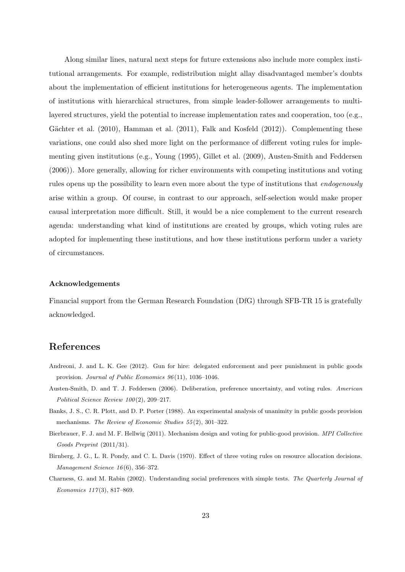Along similar lines, natural next steps for future extensions also include more complex institutional arrangements. For example, redistribution might allay disadvantaged member's doubts about the implementation of efficient institutions for heterogeneous agents. The implementation of institutions with hierarchical structures, from simple leader-follower arrangements to multilayered structures, yield the potential to increase implementation rates and cooperation, too (e.g., Gächter et al. [\(2010\)](#page-26-16), [Hamman et al.](#page-26-17) [\(2011\)](#page-26-17), [Falk and Kosfeld](#page-26-18) [\(2012\)](#page-26-18)). Complementing these variations, one could also shed more light on the performance of different voting rules for implementing given institutions (e.g., [Young](#page-27-13) [\(1995\)](#page-27-13), [Gillet et al.](#page-26-19) [\(2009\)](#page-26-19), [Austen-Smith and Feddersen](#page-25-5) [\(2006\)](#page-25-5)). More generally, allowing for richer environments with competing institutions and voting rules opens up the possibility to learn even more about the type of institutions that endogenously arise within a group. Of course, in contrast to our approach, self-selection would make proper causal interpretation more difficult. Still, it would be a nice complement to the current research agenda: understanding what kind of institutions are created by groups, which voting rules are adopted for implementing these institutions, and how these institutions perform under a variety of circumstances.

#### Acknowledgements

Financial support from the German Research Foundation (DfG) through SFB-TR 15 is gratefully acknowledged.

# References

- <span id="page-25-3"></span>Andreoni, J. and L. K. Gee (2012). Gun for hire: delegated enforcement and peer punishment in public goods provision. Journal of Public Economics 96 (11), 1036–1046.
- <span id="page-25-5"></span>Austen-Smith, D. and T. J. Feddersen (2006). Deliberation, preference uncertainty, and voting rules. American Political Science Review 100(2), 209-217.
- <span id="page-25-1"></span>Banks, J. S., C. R. Plott, and D. P. Porter (1988). An experimental analysis of unanimity in public goods provision mechanisms. The Review of Economic Studies 55(2), 301-322.
- <span id="page-25-0"></span>Bierbrauer, F. J. and M. F. Hellwig (2011). Mechanism design and voting for public-good provision. MPI Collective Goods Preprint (2011/31).
- <span id="page-25-2"></span>Birnberg, J. G., L. R. Pondy, and C. L. Davis (1970). Effect of three voting rules on resource allocation decisions. Management Science 16 (6), 356–372.
- <span id="page-25-4"></span>Charness, G. and M. Rabin (2002). Understanding social preferences with simple tests. The Quarterly Journal of Economics 117 (3), 817–869.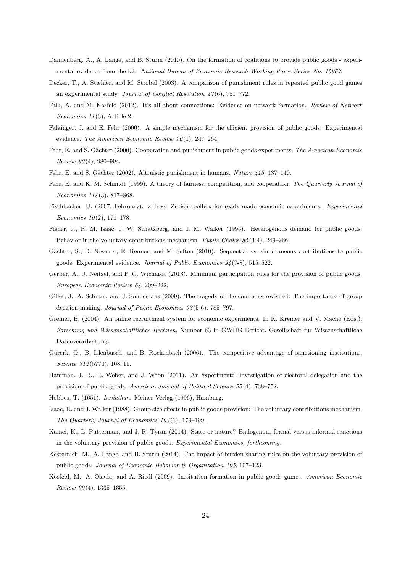- <span id="page-26-7"></span>Dannenberg, A., A. Lange, and B. Sturm (2010). On the formation of coalitions to provide public goods - experimental evidence from the lab. National Bureau of Economic Research Working Paper Series No. 15967.
- <span id="page-26-2"></span>Decker, T., A. Stiehler, and M. Strobel (2003). A comparison of punishment rules in repeated public good games an experimental study. Journal of Conflict Resolution  $\frac{1}{16}$ , 751–772.
- <span id="page-26-18"></span>Falk, A. and M. Kosfeld (2012). It's all about connections: Evidence on network formation. Review of Network Economics 11 (3), Article 2.
- <span id="page-26-8"></span>Falkinger, J. and E. Fehr (2000). A simple mechanism for the efficient provision of public goods: Experimental evidence. The American Economic Review  $90(1)$ , 247–264.
- <span id="page-26-9"></span>Fehr, E. and S. Gächter (2000). Cooperation and punishment in public goods experiments. The American Economic Review  $90(4)$ , 980–994.
- <span id="page-26-14"></span><span id="page-26-10"></span>Fehr, E. and S. Gächter (2002). Altruistic punishment in humans. Nature  $\mu$ 15, 137–140.
- Fehr, E. and K. M. Schmidt (1999). A theory of fairness, competition, and cooperation. The Quarterly Journal of Economics 114 (3), 817–868.
- <span id="page-26-12"></span>Fischbacher, U. (2007, February). z-Tree: Zurich toolbox for ready-made economic experiments. Experimental Economics  $10(2)$ , 171-178.
- <span id="page-26-15"></span>Fisher, J., R. M. Isaac, J. W. Schatzberg, and J. M. Walker (1995). Heterogenous demand for public goods: Behavior in the voluntary contributions mechanism. Public Choice 85 (3-4), 249–266.
- <span id="page-26-16"></span>Gächter, S., D. Nosenzo, E. Renner, and M. Sefton (2010). Sequential vs. simultaneous contributions to public goods: Experimental evidence. Journal of Public Economics 94 (7-8), 515–522.
- <span id="page-26-4"></span>Gerber, A., J. Neitzel, and P. C. Wichardt (2013). Minimum participation rules for the provision of public goods. European Economic Review 64, 209–222.
- <span id="page-26-19"></span>Gillet, J., A. Schram, and J. Sonnemans (2009). The tragedy of the commons revisited: The importance of group decision-making. Journal of Public Economics 93 (5-6), 785–797.
- <span id="page-26-13"></span>Greiner, B. (2004). An online recruitment system for economic experiments. In K. Kremer and V. Macho (Eds.), Forschung und Wissenschaftliches Rechnen, Number 63 in GWDG Bericht. Gesellschaft für Wissenschaftliche Datenverarbeitung.
- <span id="page-26-0"></span>Gürerk, O., B. Irlenbusch, and B. Rockenbach (2006). The competitive advantage of sanctioning institutions. Science 312(5770), 108-11.
- <span id="page-26-17"></span>Hamman, J. R., R. Weber, and J. Woon (2011). An experimental investigation of electoral delegation and the provision of public goods. American Journal of Political Science 55 (4), 738–752.
- <span id="page-26-11"></span><span id="page-26-5"></span>Hobbes, T. (1651). Leviathan. Meiner Verlag (1996), Hamburg.
- Isaac, R. and J. Walker (1988). Group size effects in public goods provision: The voluntary contributions mechanism. The Quarterly Journal of Economics 103 (1), 179–199.
- <span id="page-26-3"></span>Kamei, K., L. Putterman, and J.-R. Tyran (2014). State or nature? Endogenous formal versus informal sanctions in the voluntary provision of public goods. Experimental Economics, forthcoming.
- <span id="page-26-6"></span>Kesternich, M., A. Lange, and B. Sturm (2014). The impact of burden sharing rules on the voluntary provision of public goods. Journal of Economic Behavior & Organization 105, 107–123.
- <span id="page-26-1"></span>Kosfeld, M., A. Okada, and A. Riedl (2009). Institution formation in public goods games. American Economic  $Review 99(4), 1335-1355.$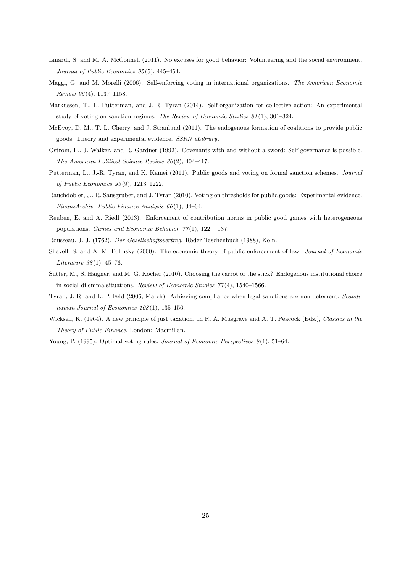- <span id="page-27-8"></span>Linardi, S. and M. A. McConnell (2011). No excuses for good behavior: Volunteering and the social environment. Journal of Public Economics 95 (5), 445–454.
- <span id="page-27-6"></span>Maggi, G. and M. Morelli (2006). Self-enforcing voting in international organizations. The American Economic Review  $96(4)$ , 1137-1158.
- <span id="page-27-2"></span>Markussen, T., L. Putterman, and J.-R. Tyran (2014). Self-organization for collective action: An experimental study of voting on sanction regimes. The Review of Economic Studies 81 (1), 301–324.
- <span id="page-27-4"></span>McEvoy, D. M., T. L. Cherry, and J. Stranlund (2011). The endogenous formation of coalitions to provide public goods: Theory and experimental evidence. SSRN eLibrary.
- <span id="page-27-11"></span>Ostrom, E., J. Walker, and R. Gardner (1992). Covenants with and without a sword: Self-governance is possible. The American Political Science Review 86 (2), 404–417.
- <span id="page-27-12"></span>Putterman, L., J.-R. Tyran, and K. Kamei (2011). Public goods and voting on formal sanction schemes. Journal of Public Economics 95 (9), 1213–1222.
- <span id="page-27-10"></span>Rauchdobler, J., R. Sausgruber, and J. Tyran (2010). Voting on thresholds for public goods: Experimental evidence. FinanzArchiv: Public Finance Analysis 66 (1), 34–64.
- <span id="page-27-9"></span>Reuben, E. and A. Riedl (2013). Enforcement of contribution norms in public good games with heterogeneous populations. Games and Economic Behavior  $77(1)$ , 122 – 137.
- <span id="page-27-3"></span><span id="page-27-0"></span>Rousseau, J. J. (1762). Der Gesellschaftsvertrag. Röder-Taschenbuch (1988), Köln.
- Shavell, S. and A. M. Polinsky (2000). The economic theory of public enforcement of law. Journal of Economic *Literature*  $38(1)$ , 45-76.
- <span id="page-27-7"></span>Sutter, M., S. Haigner, and M. G. Kocher (2010). Choosing the carrot or the stick? Endogenous institutional choice in social dilemma situations. Review of Economic Studies 77 (4), 1540–1566.
- <span id="page-27-1"></span>Tyran, J.-R. and L. P. Feld (2006, March). Achieving compliance when legal sanctions are non-deterrent. Scandinavian Journal of Economics 108(1), 135-156.
- <span id="page-27-5"></span>Wicksell, K. (1964). A new principle of just taxation. In R. A. Musgrave and A. T. Peacock (Eds.), Classics in the Theory of Public Finance. London: Macmillan.
- <span id="page-27-13"></span>Young, P. (1995). Optimal voting rules. Journal of Economic Perspectives  $9(1)$ , 51–64.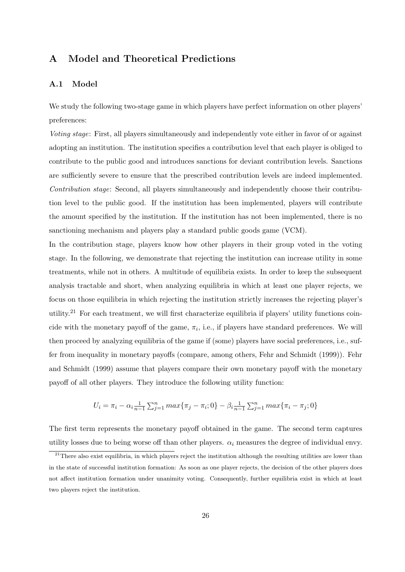# <span id="page-28-0"></span>A Model and Theoretical Predictions

# A.1 Model

We study the following two-stage game in which players have perfect information on other players' preferences:

Voting stage: First, all players simultaneously and independently vote either in favor of or against adopting an institution. The institution specifies a contribution level that each player is obliged to contribute to the public good and introduces sanctions for deviant contribution levels. Sanctions are sufficiently severe to ensure that the prescribed contribution levels are indeed implemented. Contribution stage: Second, all players simultaneously and independently choose their contribution level to the public good. If the institution has been implemented, players will contribute the amount specified by the institution. If the institution has not been implemented, there is no sanctioning mechanism and players play a standard public goods game (VCM).

In the contribution stage, players know how other players in their group voted in the voting stage. In the following, we demonstrate that rejecting the institution can increase utility in some treatments, while not in others. A multitude of equilibria exists. In order to keep the subsequent analysis tractable and short, when analyzing equilibria in which at least one player rejects, we focus on those equilibria in which rejecting the institution strictly increases the rejecting player's utility.<sup>[21](#page-28-1)</sup> For each treatment, we will first characterize equilibria if players' utility functions coincide with the monetary payoff of the game,  $\pi_i$ , i.e., if players have standard preferences. We will then proceed by analyzing equilibria of the game if (some) players have social preferences, i.e., suffer from inequality in monetary payoffs (compare, among others, [Fehr and Schmidt](#page-26-14) [\(1999\)](#page-26-14)). [Fehr](#page-26-14) [and Schmidt](#page-26-14) [\(1999\)](#page-26-14) assume that players compare their own monetary payoff with the monetary payoff of all other players. They introduce the following utility function:

$$
U_i = \pi_i - \alpha_i \frac{1}{n-1} \sum_{j=1}^n \max\{\pi_j - \pi_i; 0\} - \beta_i \frac{1}{n-1} \sum_{j=1}^n \max\{\pi_i - \pi_j; 0\}
$$

The first term represents the monetary payoff obtained in the game. The second term captures utility losses due to being worse off than other players.  $\alpha_i$  measures the degree of individual envy.

<span id="page-28-1"></span> $21$ There also exist equilibria, in which players reject the institution although the resulting utilities are lower than in the state of successful institution formation: As soon as one player rejects, the decision of the other players does not affect institution formation under unanimity voting. Consequently, further equilibria exist in which at least two players reject the institution.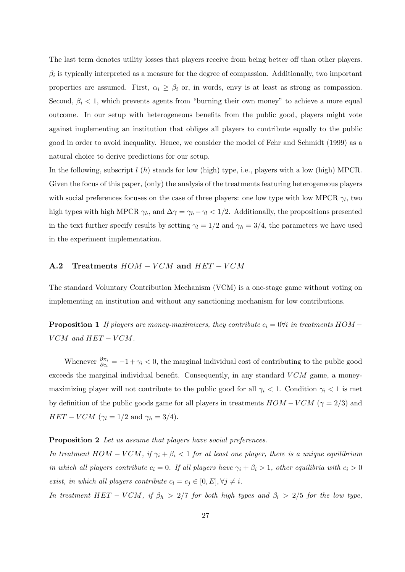The last term denotes utility losses that players receive from being better off than other players.  $\beta_i$  is typically interpreted as a measure for the degree of compassion. Additionally, two important properties are assumed. First,  $\alpha_i \geq \beta_i$  or, in words, envy is at least as strong as compassion. Second,  $\beta_i$  < 1, which prevents agents from "burning their own money" to achieve a more equal outcome. In our setup with heterogeneous benefits from the public good, players might vote against implementing an institution that obliges all players to contribute equally to the public good in order to avoid inequality. Hence, we consider the model of [Fehr and Schmidt](#page-26-14) [\(1999\)](#page-26-14) as a natural choice to derive predictions for our setup.

In the following, subscript  $l(h)$  stands for low (high) type, i.e., players with a low (high) MPCR. Given the focus of this paper, (only) the analysis of the treatments featuring heterogeneous players with social preferences focuses on the case of three players: one low type with low MPCR  $\gamma_l$ , two high types with high MPCR  $\gamma_h$ , and  $\Delta \gamma = \gamma_h - \gamma_l < 1/2$ . Additionally, the propositions presented in the text further specify results by setting  $\gamma_l = 1/2$  and  $\gamma_h = 3/4$ , the parameters we have used in the experiment implementation.

# A.2 Treatments  $HOM - VCM$  and  $HET - VCM$

The standard Voluntary Contribution Mechanism (VCM) is a one-stage game without voting on implementing an institution and without any sanctioning mechanism for low contributions.

**Proposition 1** If players are money-maximizers, they contribute  $c_i = 0 \forall i$  in treatments  $HOM VCM$  and  $HET-VCM$ .

Whenever  $\frac{\partial \pi_i}{\partial c_i} = -1 + \gamma_i < 0$ , the marginal individual cost of contributing to the public good exceeds the marginal individual benefit. Consequently, in any standard  $VCM$  game, a moneymaximizing player will not contribute to the public good for all  $\gamma_i$  < 1. Condition  $\gamma_i$  < 1 is met by definition of the public goods game for all players in treatments  $HOM - VCM$  ( $\gamma = 2/3$ ) and  $HET - VCM$  ( $\gamma_l = 1/2$  and  $\gamma_h = 3/4$ ).

#### Proposition 2 Let us assume that players have social preferences.

In treatment  $HOM - VCM$ , if  $\gamma_i + \beta_i < 1$  for at least one player, there is a unique equilibrium in which all players contribute  $c_i = 0$ . If all players have  $\gamma_i + \beta_i > 1$ , other equilibria with  $c_i > 0$ exist, in which all players contribute  $c_i = c_j \in [0, E], \forall j \neq i$ .

In treatment HET – VCM, if  $\beta_h > 2/7$  for both high types and  $\beta_l > 2/5$  for the low type,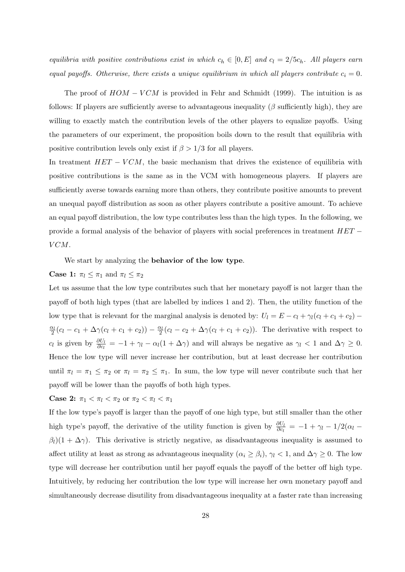equilibria with positive contributions exist in which  $c_h \in [0, E]$  and  $c_l = 2/5c_h$ . All players earn equal payoffs. Otherwise, there exists a unique equilibrium in which all players contribute  $c_i = 0$ .

The proof of  $HOM - VCM$  is provided in [Fehr and Schmidt](#page-26-14) [\(1999\)](#page-26-14). The intuition is as follows: If players are sufficiently averse to advantageous inequality ( $\beta$  sufficiently high), they are willing to exactly match the contribution levels of the other players to equalize payoffs. Using the parameters of our experiment, the proposition boils down to the result that equilibria with positive contribution levels only exist if  $\beta > 1/3$  for all players.

In treatment  $HET - VCM$ , the basic mechanism that drives the existence of equilibria with positive contributions is the same as in the VCM with homogeneous players. If players are sufficiently averse towards earning more than others, they contribute positive amounts to prevent an unequal payoff distribution as soon as other players contribute a positive amount. To achieve an equal payoff distribution, the low type contributes less than the high types. In the following, we provide a formal analysis of the behavior of players with social preferences in treatment HET − VCM.

We start by analyzing the behavior of the low type.

### **Case 1:**  $\pi_l \leq \pi_1$  and  $\pi_l \leq \pi_2$

Let us assume that the low type contributes such that her monetary payoff is not larger than the payoff of both high types (that are labelled by indices 1 and 2). Then, the utility function of the low type that is relevant for the marginal analysis is denoted by:  $U_l = E - c_l + \gamma_l(c_l + c_1 + c_2)$  $\frac{\alpha_l}{2}(c_l - c_1 + \Delta \gamma (c_l + c_1 + c_2)) - \frac{\alpha_l}{2}(c_l - c_2 + \Delta \gamma (c_l + c_1 + c_2)).$  The derivative with respect to  $c_l$  is given by  $\frac{\partial U_l}{\partial c_l} = -1 + \gamma_l - \alpha_l(1 + \Delta \gamma)$  and will always be negative as  $\gamma_l < 1$  and  $\Delta \gamma \geq 0$ . Hence the low type will never increase her contribution, but at least decrease her contribution until  $\pi_l = \pi_1 \leq \pi_2$  or  $\pi_l = \pi_2 \leq \pi_1$ . In sum, the low type will never contribute such that her payoff will be lower than the payoffs of both high types.

# **Case 2:**  $\pi_1 < \pi_2 < \pi_2$  or  $\pi_2 < \pi_1 < \pi_1$

If the low type's payoff is larger than the payoff of one high type, but still smaller than the other high type's payoff, the derivative of the utility function is given by  $\frac{\partial U_l}{\partial c_l} = -1 + \gamma_l - 1/2(\alpha_l \beta_l(1 + \Delta \gamma)$ . This derivative is strictly negative, as disadvantageous inequality is assumed to affect utility at least as strong as advantageous inequality ( $\alpha_i \ge \beta_i$ ),  $\gamma_i < 1$ , and  $\Delta \gamma \ge 0$ . The low type will decrease her contribution until her payoff equals the payoff of the better off high type. Intuitively, by reducing her contribution the low type will increase her own monetary payoff and simultaneously decrease disutility from disadvantageous inequality at a faster rate than increasing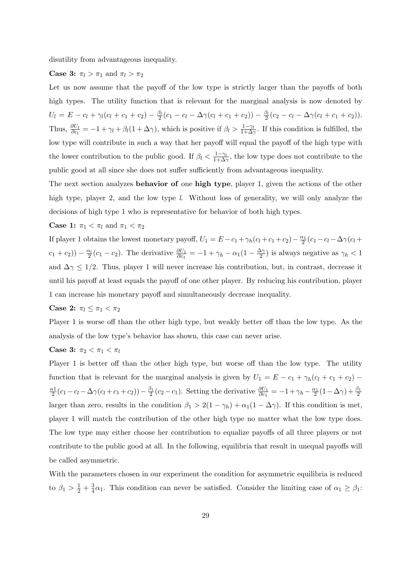disutility from advantageous inequality.

### **Case 3:**  $\pi_l > \pi_1$  and  $\pi_l > \pi_2$

Let us now assume that the payoff of the low type is strictly larger than the payoffs of both high types. The utility function that is relevant for the marginal analysis is now denoted by  $U_l = E - c_l + \gamma_l(c_l + c_1 + c_2) - \frac{\beta_l}{2}(c_1 - c_l - \Delta\gamma(c_l + c_1 + c_2)) - \frac{\beta_l}{2}(c_2 - c_l - \Delta\gamma(c_l + c_1 + c_2)).$ Thus,  $\frac{\partial U_l}{\partial c_l} = -1 + \gamma_l + \beta_l(1 + \Delta \gamma)$ , which is positive if  $\beta_l > \frac{1-\gamma_l}{1+\Delta \gamma}$ . If this condition is fulfilled, the low type will contribute in such a way that her payoff will equal the payoff of the high type with the lower contribution to the public good. If  $\beta_l < \frac{1-\gamma_l}{1+\Delta\gamma}$ , the low type does not contribute to the public good at all since she does not suffer sufficiently from advantageous inequality.

The next section analyzes **behavior of** one **high type**, player 1, given the actions of the other high type, player 2, and the low type *l.* Without loss of generality, we will only analyze the decisions of high type 1 who is representative for behavior of both high types.

## **Case 1:**  $\pi_1 < \pi_l$  and  $\pi_1 < \pi_2$

If player 1 obtains the lowest monetary payoff,  $U_1 = E - c_1 + \gamma_h(c_l + c_1 + c_2) - \frac{\alpha_1}{2}(c_1 - c_l - \Delta \gamma(c_l + c_1))$  $(c_1 + c_2)$ ) –  $\frac{\alpha_l}{2}(c_1 - c_2)$ . The derivative  $\frac{\partial U_1}{\partial c_1} = -1 + \gamma_h - \alpha_1(1 - \frac{\Delta \gamma}{2})$  $\frac{\Delta \gamma}{2}$ ) is always negative as  $\gamma_h < 1$ and  $\Delta \gamma \leq 1/2$ . Thus, player 1 will never increase his contribution, but, in contrast, decrease it until his payoff at least equals the payoff of one other player. By reducing his contribution, player 1 can increase his monetary payoff and simultaneously decrease inequality.

# Case 2:  $\pi_l \leq \pi_1 < \pi_2$

Player 1 is worse off than the other high type, but weakly better off than the low type. As the analysis of the low type's behavior has shown, this case can never arise.

# **Case 3:**  $\pi_2 < \pi_1 < \pi_l$

Player 1 is better off than the other high type, but worse off than the low type. The utility function that is relevant for the marginal analysis is given by  $U_1 = E - c_1 + \gamma_h(c_l + c_1 + c_2)$  $\alpha$ 1  $\frac{\partial U_1}{\partial c_1}$  =  $-c_l - \Delta \gamma (c_l + c_1 + c_2) - \frac{\beta_1}{2} (c_2 - c_1)$ . Setting the derivative  $\frac{\partial U_1}{\partial c_1}$  =  $-1 + \gamma_h - \frac{\alpha_1}{2} (1 - \Delta \gamma) + \frac{\beta_1}{2}$ larger than zero, results in the condition  $\beta_1 > 2(1 - \gamma_h) + \alpha_1(1 - \Delta \gamma)$ . If this condition is met, player 1 will match the contribution of the other high type no matter what the low type does. The low type may either choose her contribution to equalize payoffs of all three players or not contribute to the public good at all. In the following, equilibria that result in unequal payoffs will be called asymmetric.

With the parameters chosen in our experiment the condition for asymmetric equilibria is reduced to  $\beta_1 > \frac{1}{2} + \frac{3}{4}$  $\frac{3}{4}\alpha_1$ . This condition can never be satisfied. Consider the limiting case of  $\alpha_1 \geq \beta_1$ :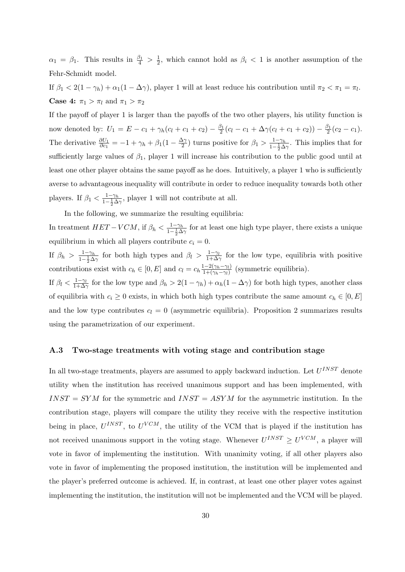$\alpha_1 = \beta_1$ . This results in  $\frac{\beta_1}{4} > \frac{1}{2}$  $\frac{1}{2}$ , which cannot hold as  $\beta_i < 1$  is another assumption of the Fehr-Schmidt model.

If  $\beta_1 < 2(1 - \gamma_h) + \alpha_1(1 - \Delta\gamma)$ , player 1 will at least reduce his contribution until  $\pi_2 < \pi_1 = \pi_l$ . **Case 4:**  $\pi_1 > \pi_l$  and  $\pi_1 > \pi_2$ 

If the payoff of player 1 is larger than the payoffs of the two other players, his utility function is now denoted by:  $U_1 = E - c_1 + \gamma_h(c_l + c_1 + c_2) - \frac{\beta_1}{2}(c_l - c_1 + \Delta\gamma(c_l + c_1 + c_2)) - \frac{\beta_1}{2}(c_2 - c_1).$ The derivative  $\frac{\partial U_1}{\partial c_1} = -1 + \gamma_h + \beta_1(1 - \frac{\Delta \gamma_1}{2})$  $\frac{\Delta \gamma}{2}$ ) turns positive for  $\beta_1 > \frac{1-\gamma_h}{1-\frac{1}{8}\Delta}$  $\frac{1-\gamma_h}{1-\frac{1}{2}\Delta\gamma}$ . This implies that for sufficiently large values of  $\beta_1$ , player 1 will increase his contribution to the public good until at least one other player obtains the same payoff as he does. Intuitively, a player 1 who is sufficiently averse to advantageous inequality will contribute in order to reduce inequality towards both other players. If  $\beta_1 < \frac{1-\gamma_h}{1-\frac{1}{\alpha_h}}$  $\frac{1-\gamma_h}{1-\frac{1}{2}\Delta\gamma}$ , player 1 will not contribute at all.

In the following, we summarize the resulting equilibria:

In treatment  $HET-VCM$ , if  $\beta_h < \frac{1-\gamma_h}{1-\alpha_h}$  $\frac{1-\gamma_h}{1-\frac{1}{2}\Delta\gamma}$  for at least one high type player, there exists a unique equilibrium in which all players contribute  $c_i = 0$ .

If  $\beta_h > \frac{1-\gamma_h}{1-\frac{1}{\lambda}}$  $\frac{1-\gamma_h}{1-\frac{1}{2}\Delta\gamma}$  for both high types and  $\beta_l > \frac{1-\gamma_l}{1+\Delta\gamma}$  for the low type, equilibria with positive contributions exist with  $c_h \in [0, E]$  and  $c_l = c_h \frac{1 - 2(\gamma_h - \gamma_l)}{1 + (\gamma_h - \gamma_l)}$  $\frac{1-2(\gamma_h-\gamma_l)}{1+(\gamma_h-\gamma_l)}$  (symmetric equilibria).

If  $\beta_l < \frac{1-\gamma_l}{1+\Delta\gamma}$  for the low type and  $\beta_h > 2(1-\gamma_h) + \alpha_h(1-\Delta\gamma)$  for both high types, another class of equilibria with  $c_i \geq 0$  exists, in which both high types contribute the same amount  $c_h \in [0, E]$ and the low type contributes  $c_l = 0$  (asymmetric equilibria). Proposition 2 summarizes results using the parametrization of our experiment.

### A.3 Two-stage treatments with voting stage and contribution stage

In all two-stage treatments, players are assumed to apply backward induction. Let  $U^{INST}$  denote utility when the institution has received unanimous support and has been implemented, with  $INST = SYM$  for the symmetric and  $INST = ASYM$  for the asymmetric institution. In the contribution stage, players will compare the utility they receive with the respective institution being in place,  $U^{INST}$ , to  $U^{VCM}$ , the utility of the VCM that is played if the institution has not received unanimous support in the voting stage. Whenever  $U^{INST} \geq U^{VCM}$ , a player will vote in favor of implementing the institution. With unanimity voting, if all other players also vote in favor of implementing the proposed institution, the institution will be implemented and the player's preferred outcome is achieved. If, in contrast, at least one other player votes against implementing the institution, the institution will not be implemented and the VCM will be played.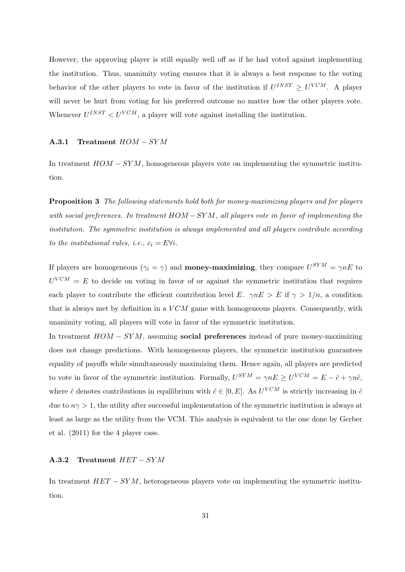However, the approving player is still equally well off as if he had voted against implementing the institution. Thus, unanimity voting ensures that it is always a best response to the voting behavior of the other players to vote in favor of the institution if  $U^{INST} \geq U^{VCM}$ . A player will never be hurt from voting for his preferred outcome no matter how the other players vote. Whenever  $U^{INST} < U^{VCM}$ , a player will vote against installing the institution.

# A.3.1 Treatment HOM − SY M

In treatment  $HOM - SYM$ , homogeneous players vote on implementing the symmetric institution.

Proposition 3 The following statements hold both for money-maximizing players and for players with social preferences. In treatment  $HOM-SYM$ , all players vote in favor of implementing the institution. The symmetric institution is always implemented and all players contribute according to the institutional rules, i.e.,  $c_i = E \forall i$ .

If players are homogeneous  $(\gamma_i = \gamma)$  and **money-maximizing**, they compare  $U^{SYM} = \gamma nE$  to  $U^{VCM} = E$  to decide on voting in favor of or against the symmetric institution that requires each player to contribute the efficient contribution level E.  $\gamma nE > E$  if  $\gamma > 1/n$ , a condition that is always met by definition in a  $VCM$  game with homogeneous players. Consequently, with unanimity voting, all players will vote in favor of the symmetric institution.

In treatment  $HOM - SYM$ , assuming social preferences instead of pure money-maximizing does not change predictions. With homogeneous players, the symmetric institution guarantees equality of payoffs while simultaneously maximizing them. Hence again, all players are predicted to vote in favor of the symmetric institution. Formally,  $U^{SYM} = \gamma nE \ge U^{VCM} = E - \hat{c} + \gamma n \hat{c}$ , where  $\hat{c}$  denotes contributions in equilibrium with  $\hat{c} \in [0, E]$ . As  $U^{VCM}$  is strictly increasing in  $\hat{c}$ due to  $n\gamma > 1$ , the utility after successful implementation of the symmetric institution is always at least as large as the utility from the VCM. This analysis is equivalent to the one done by Gerber et al. (2011) for the 4 player case.

# A.3.2 Treatment  $HET-SYM$

In treatment  $HET - SYM$ , heterogeneous players vote on implementing the symmetric institution.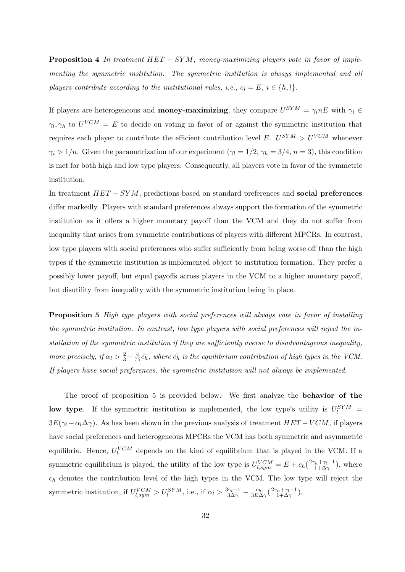**Proposition 4** In treatment  $HET - SYM$ , money-maximizing players vote in favor of implementing the symmetric institution. The symmetric institution is always implemented and all players contribute according to the institutional rules, i.e.,  $c_i = E$ ,  $i \in \{h, l\}$ .

If players are heterogeneous and **money-maximizing**, they compare  $U^{SYM} = \gamma_i nE$  with  $\gamma_i \in$  $\gamma_l, \gamma_h$  to  $U^{VCM} = E$  to decide on voting in favor of or against the symmetric institution that requires each player to contribute the efficient contribution level E.  $U^{SYM} > U^{VCM}$  whenever  $\gamma_i > 1/n$ . Given the parametrization of our experiment  $(\gamma_l = 1/2, \gamma_h = 3/4, n = 3)$ , this condition is met for both high and low type players. Consequently, all players vote in favor of the symmetric institution.

In treatment  $HET - SYM$ , predictions based on standard preferences and social preferences differ markedly. Players with standard preferences always support the formation of the symmetric institution as it offers a higher monetary payoff than the VCM and they do not suffer from inequality that arises from symmetric contributions of players with different MPCRs. In contrast, low type players with social preferences who suffer sufficiently from being worse off than the high types if the symmetric institution is implemented object to institution formation. They prefer a possibly lower payoff, but equal payoffs across players in the VCM to a higher monetary payoff, but disutility from inequality with the symmetric institution being in place.

Proposition 5 High type players with social preferences will always vote in favor of installing the symmetric institution. In contrast, low type players with social preferences will reject the installation of the symmetric institution if they are sufficiently averse to disadvantageous inequality, more precisely, if  $\alpha_l > \frac{2}{3} - \frac{4}{75} \hat{c}_h$ , where  $\hat{c}_h$  is the equilibrium contribution of high types in the VCM. If players have social preferences, the symmetric institution will not always be implemented.

The proof of proposition 5 is provided below. We first analyze the behavior of the low type. If the symmetric institution is implemented, the low type's utility is  $U_l^{SYM}$  =  $3E(\gamma_l - \alpha_l\Delta\gamma)$ . As has been shown in the previous analysis of treatment  $HET - VCM$ , if players have social preferences and heterogeneous MPCRs the VCM has both symmetric and asymmetric equilibria. Hence,  $U_l^{VCM}$  depends on the kind of equilibrium that is played in the VCM. If a symmetric equilibrium is played, the utility of the low type is  $U_{l,sym}^{VCM} = E + c_h(\frac{2\gamma_h + \gamma_l - 1}{1 + \Delta\gamma})$ , where  $c_h$  denotes the contribution level of the high types in the VCM. The low type will reject the symmetric institution, if  $U_{l,sym}^{VCM} > U_l^{SYM}$ , i.e., if  $\alpha_l > \frac{3\gamma_l - 1}{3\Delta\gamma} - \frac{c_h}{3E\Delta\gamma}(\frac{2\gamma_h + \gamma_l - 1}{1 + \Delta\gamma})$ .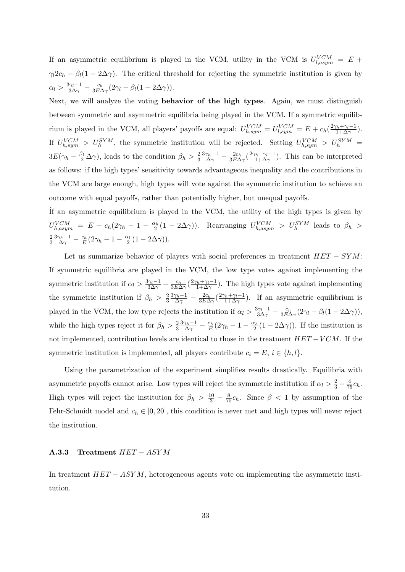If an asymmetric equilibrium is played in the VCM, utility in the VCM is  $U_{l,asym}^{VCM} = E +$  $\gamma_l 2c_h - \beta_l (1 - 2\Delta \gamma)$ . The critical threshold for rejecting the symmetric institution is given by  $\alpha_l > \frac{3\gamma_l-1}{3\Delta\gamma} - \frac{c_h}{3E\Delta\gamma}(2\gamma_l - \beta_l(1-2\Delta\gamma)).$ 

Next, we will analyze the voting **behavior of the high types**. Again, we must distinguish between symmetric and asymmetric equilibria being played in the VCM. If a symmetric equilibrium is played in the VCM, all players' payoffs are equal:  $U_{h,sym}^{VCM} = U_{l,sym}^{VCM} = E + c_h(\frac{2\gamma_h + \gamma_l - 1}{1 + \Delta\gamma}).$ If  $U_{h,sym}^{VCM} > U_h^{SYM}$ , the symmetric institution will be rejected. Setting  $U_{h,sym}^{VCM} > U_h^{SYM} =$  $3E(\gamma_h - \frac{\beta_1}{2}\Delta\gamma)$ , leads to the condition  $\beta_h > \frac{2}{3}$  $rac{2}{3} \frac{3\gamma_h-1}{\Delta \gamma} - \frac{2c_h}{3E\Delta \gamma} (\frac{2\gamma_h+\gamma_l-1}{1+\Delta \gamma}).$  This can be interpreted as follows: if the high types' sensitivity towards advantageous inequality and the contributions in the VCM are large enough, high types will vote against the symmetric institution to achieve an outcome with equal payoffs, rather than potentially higher, but unequal payoffs.

If an asymmetric equilibrium is played in the VCM, the utility of the high types is given by  $U_{h,asym}^{VCM} = E + c_h(2\gamma_h - 1 - \frac{\alpha_h}{2}(1 - 2\Delta\gamma)).$  Rearranging  $U_{h,asym}^{VCM} > U_h^{SYM}$  leads to  $\beta_h >$ 2  $\frac{2}{3} \frac{3\gamma_h-1}{\Delta \gamma}-\frac{c_h}{E}(2\gamma_h-1-\frac{\alpha_1}{2}(1-2\Delta \gamma)).$ 

Let us summarize behavior of players with social preferences in treatment  $HET - SYM$ : If symmetric equilibria are played in the VCM, the low type votes against implementing the symmetric institution if  $\alpha_l > \frac{3\gamma_l - 1}{3\Delta\gamma} - \frac{c_h}{3E\Delta\gamma}(\frac{2\gamma_h + \gamma_l - 1}{1 + \Delta\gamma})$ . The high types vote against implementing the symmetric institution if  $\beta_h > \frac{2}{3}$  $rac{2}{3} \frac{3\gamma_h-1}{\Delta \gamma} - \frac{2c_h}{3E\Delta \gamma} (\frac{2\gamma_h+\gamma_l-1}{1+\Delta \gamma}).$  If an asymmetric equilibrium is played in the VCM, the low type rejects the institution if  $\alpha_l > \frac{3\gamma_l-1}{3\Delta\gamma} - \frac{c_h}{3E\Delta\gamma}(2\gamma_l - \beta_l(1-2\Delta\gamma)),$ while the high types reject it for  $\beta_h > \frac{2}{3}$  $\frac{2}{3} \frac{3\gamma_h - 1}{\Delta \gamma} - \frac{c_h}{E} (2\gamma_h - 1 - \frac{\alpha_h}{2} (1 - 2\Delta \gamma)).$  If the institution is not implemented, contribution levels are identical to those in the treatment  $HET - VCM$ . If the symmetric institution is implemented, all players contribute  $c_i = E, i \in \{h, l\}.$ 

Using the parametrization of the experiment simplifies results drastically. Equilibria with asymmetric payoffs cannot arise. Low types will reject the symmetric institution if  $\alpha_l > \frac{2}{3} - \frac{4}{75}c_h$ . High types will reject the institution for  $\beta_h > \frac{10}{3} - \frac{8}{75}c_h$ . Since  $\beta < 1$  by assumption of the Fehr-Schmidt model and  $c_h \in [0, 20]$ , this condition is never met and high types will never reject the institution.

# A.3.3 Treatment  $HET - ASYM$

In treatment  $HET - ASYM$ , heterogeneous agents vote on implementing the asymmetric institution.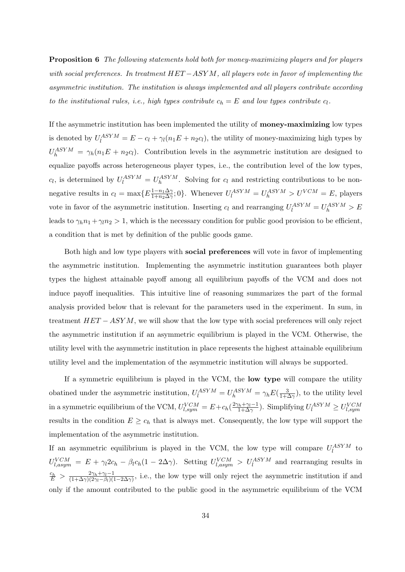Proposition 6 The following statements hold both for money-maximizing players and for players with social preferences. In treatment  $HET-ASYM$ , all players vote in favor of implementing the asymmetric institution. The institution is always implemented and all players contribute according to the institutional rules, i.e., high types contribute  $c_h = E$  and low types contribute  $c_l$ .

If the asymmetric institution has been implemented the utility of money-maximizing low types is denoted by  $U_l^{ASYM} = E - c_l + \gamma_l (n_1 E + n_2 c_l)$ , the utility of money-maximizing high types by  $U_h^{ASYM} = \gamma_h(n_1E + n_2c_l)$ . Contribution levels in the asymmetric institution are designed to equalize payoffs across heterogeneous player types, i.e., the contribution level of the low types,  $c_l$ , is determined by  $U_l^{ASYM} = U_h^{ASYM}$ . Solving for  $c_l$  and restricting contributions to be nonnegative results in  $c_l = \max\{E\frac{1-n_1\Delta\gamma}{1+n_2\Delta\gamma}\}$  $\frac{1-n_1\Delta\gamma}{1+n_2\Delta\gamma}$ ; 0}. Whenever  $U_l^{ASYM} = U_h^{ASYM} > U^{VCM} = E$ , players vote in favor of the asymmetric institution. Inserting  $c_l$  and rearranging  $U_l^{ASYM} = U_h^{ASYM} > E$ leads to  $\gamma_h n_1 + \gamma_l n_2 > 1$ , which is the necessary condition for public good provision to be efficient, a condition that is met by definition of the public goods game.

Both high and low type players with social preferences will vote in favor of implementing the asymmetric institution. Implementing the asymmetric institution guarantees both player types the highest attainable payoff among all equilibrium payoffs of the VCM and does not induce payoff inequalities. This intuitive line of reasoning summarizes the part of the formal analysis provided below that is relevant for the parameters used in the experiment. In sum, in treatment  $HET - ASYM$ , we will show that the low type with social preferences will only reject the asymmetric institution if an asymmetric equilibrium is played in the VCM. Otherwise, the utility level with the asymmetric institution in place represents the highest attainable equilibrium utility level and the implementation of the asymmetric institution will always be supported.

If a symmetric equilibrium is played in the VCM, the low type will compare the utility obatined under the asymmetric institution,  $U_l^{ASYM} = U_h^{ASYM} = \gamma_h E(\frac{3}{1+\epsilon})$  $\frac{3}{1+\Delta\gamma}$ , to the utility level in a symmetric equilibrium of the VCM,  $U_{l,sym}^{VCM} = E + c_h(\frac{2\gamma_h + \gamma_l - 1}{1 + \Delta\gamma})$ . Simplifying  $U_l^{ASYM} \ge U_{l,sym}^{VCM}$ results in the condition  $E \geq c_h$  that is always met. Consequently, the low type will support the implementation of the asymmetric institution.

If an asymmetric equilibrium is played in the VCM, the low type will compare  $U_l^{ASYM}$  to  $U_{l,asym}^{VCM} = E + \gamma_l 2c_h - \beta_l c_h (1 - 2\Delta \gamma)$ . Setting  $U_{l,asym}^{VCM} > U_l^{ASYM}$  and rearranging results in  $\frac{c_h}{E} > \frac{2\gamma_h + \gamma_l - 1}{(1 + \Delta\gamma)(2\gamma_l - \beta_l)(1)}$  $\frac{2\gamma_h+\gamma_l-1}{(1+\Delta\gamma)(2\gamma_l-\beta_l)(1-2\Delta\gamma)}$ , i.e., the low type will only reject the asymmetric institution if and only if the amount contributed to the public good in the asymmetric equilibrium of the VCM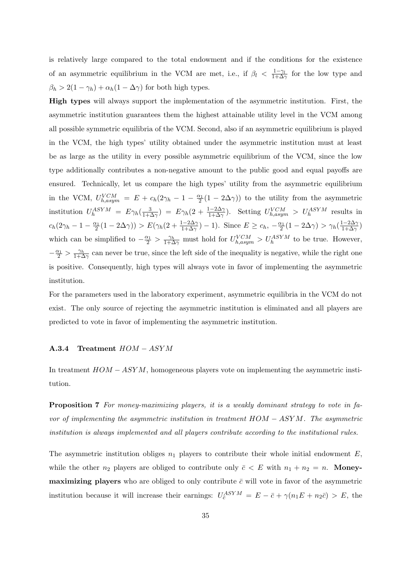is relatively large compared to the total endowment and if the conditions for the existence of an asymmetric equilibrium in the VCM are met, i.e., if  $\beta_l < \frac{1-\gamma_l}{1+\Delta\gamma}$  for the low type and  $\beta_h > 2(1-\gamma_h) + \alpha_h(1-\Delta\gamma)$  for both high types.

High types will always support the implementation of the asymmetric institution. First, the asymmetric institution guarantees them the highest attainable utility level in the VCM among all possible symmetric equilibria of the VCM. Second, also if an asymmetric equilibrium is played in the VCM, the high types' utility obtained under the asymmetric institution must at least be as large as the utility in every possible asymmetric equilibrium of the VCM, since the low type additionally contributes a non-negative amount to the public good and equal payoffs are ensured. Technically, let us compare the high types' utility from the asymmetric equilibrium in the VCM,  $U_{h,asym}^{VCM} = E + c_h(2\gamma_h - 1 - \frac{\alpha_1}{2}(1 - 2\Delta\gamma))$  to the utility from the asymmetric institution  $U_h^{ASYM} = E \gamma_h \left( \frac{3}{1+\epsilon} \right)$  $\frac{3}{1+\Delta\gamma}$ ) =  $E\gamma_h(2+\frac{1-2\Delta\gamma}{1+\Delta\gamma})$ . Setting  $U_{h,asym}^{VCM} > U_h^{ASYM}$  results in  $c_h(2\gamma_h-1-\frac{\alpha_1}{2}(1-2\Delta\gamma)) > E(\gamma_h(2+\frac{1-2\Delta\gamma}{1+\Delta\gamma})-1)$ . Since  $E \ge c_h, -\frac{\alpha_1}{2}(1-2\Delta\gamma) > \gamma_h(\frac{1-2\Delta\gamma}{1+\Delta\gamma})$  $\frac{1-2\Delta\gamma}{1+\Delta\gamma})$ which can be simplified to  $-\frac{\alpha_1}{2} > \frac{\gamma_h}{1+\Delta\gamma}$  must hold for  $U_{h,asym}^{VCM} > U_h^{ASYM}$  to be true. However,  $-\frac{\alpha_1}{2} > \frac{\gamma_h}{1+\Delta\gamma}$  can never be true, since the left side of the inequality is negative, while the right one is positive. Consequently, high types will always vote in favor of implementing the asymmetric institution.

For the parameters used in the laboratory experiment, asymmetric equilibria in the VCM do not exist. The only source of rejecting the asymmetric institution is eliminated and all players are predicted to vote in favor of implementing the asymmetric institution.

#### A.3.4 Treatment HOM − ASY M

In treatment  $HOM - ASYM$ , homogeneous players vote on implementing the asymmetric institution.

Proposition 7 For money-maximizing players, it is a weakly dominant strategy to vote in favor of implementing the asymmetric institution in treatment HOM − ASY M. The asymmetric institution is always implemented and all players contribute according to the institutional rules.

The asymmetric institution obliges  $n_1$  players to contribute their whole initial endowment E, while the other  $n_2$  players are obliged to contribute only  $\bar{c} < E$  with  $n_1 + n_2 = n$ . Moneymaximizing players who are obliged to only contribute  $\bar{c}$  will vote in favor of the asymmetric institution because it will increase their earnings:  $U_{\bar{c}}^{ASYM} = E - \bar{c} + \gamma(n_1E + n_2\bar{c}) > E$ , the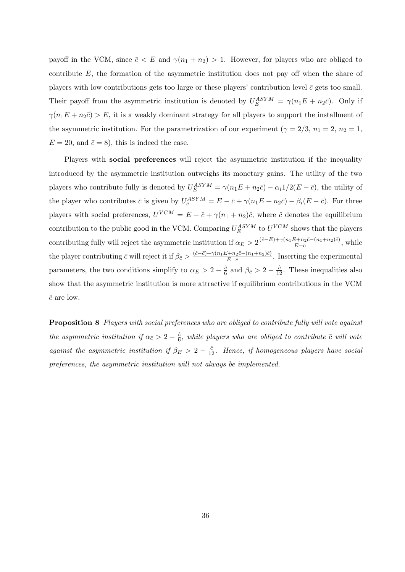payoff in the VCM, since  $\bar{c} < E$  and  $\gamma(n_1 + n_2) > 1$ . However, for players who are obliged to contribute E, the formation of the asymmetric institution does not pay off when the share of players with low contributions gets too large or these players' contribution level  $\bar{c}$  gets too small. Their payoff from the asymmetric institution is denoted by  $U_E^{ASYM} = \gamma(n_1E + n_2\bar{c})$ . Only if  $\gamma(n_1E + n_2\bar{c}) > E$ , it is a weakly dominant strategy for all players to support the installment of the asymmetric institution. For the parametrization of our experiment ( $\gamma = 2/3$ ,  $n_1 = 2$ ,  $n_2 = 1$ ,  $E = 20$ , and  $\bar{c} = 8$ ), this is indeed the case.

Players with social preferences will reject the asymmetric institution if the inequality introduced by the asymmetric institution outweighs its monetary gains. The utility of the two players who contribute fully is denoted by  $U_E^{ASYM} = \gamma (n_1E + n_2\bar{c}) - \alpha_i 1/2(E - \bar{c})$ , the utility of the player who contributes  $\bar{c}$  is given by  $U_{\bar{c}}^{ASYM} = E - \bar{c} + \gamma (n_1E + n_2\bar{c}) - \beta_i(E - \bar{c})$ . For three players with social preferences,  $U^{VCM} = E - \hat{c} + \gamma(n_1 + n_2)\hat{c}$ , where  $\hat{c}$  denotes the equilibrium contribution to the public good in the VCM. Comparing  $U_E^{ASYM}$  to  $U^{VCM}$  shows that the players contributing fully will reject the asymmetric institution if  $\alpha_E > 2 \frac{(\hat{c}-E) + \gamma (n_1 E + n_2 \bar{c} - (n_1+n_2)\hat{c})}{E-\bar{c}}$  $\frac{E+n_2c-(n_1+n_2)c}{E-\bar{c}}$ , while the player contributing  $\bar{c}$  will reject it if  $\beta_{\bar{c}} > \frac{(\hat{c}-\bar{c})+\gamma(n_1E+n_2\bar{c}-(n_1+n_2)\hat{c})}{E-\bar{c}}$  $\frac{E+h_2c-(n_1+n_2)c)}{E-\bar{c}}$ . Inserting the experimental parameters, the two conditions simplify to  $\alpha_E > 2 - \frac{\hat{c}}{6}$  $\frac{\hat{c}}{6}$  and  $\beta_{\bar{c}} > 2 - \frac{\hat{c}}{12}$ . These inequalities also show that the asymmetric institution is more attractive if equilibrium contributions in the VCM  $\hat{c}$  are low.

Proposition 8 Players with social preferences who are obliged to contribute fully will vote against the asymmetric institution if  $\alpha_{\bar{c}} > 2 - \frac{\hat{c}}{6}$  $\frac{\tilde{e}}{6}$ , while players who are obliged to contribute  $\bar{c}$  will vote against the asymmetric institution if  $\beta_E > 2 - \frac{\hat{c}}{12}$ . Hence, if homogeneous players have social preferences, the asymmetric institution will not always be implemented.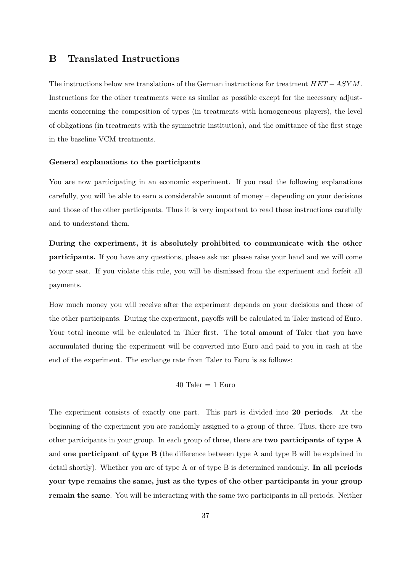# <span id="page-39-0"></span>B Translated Instructions

The instructions below are translations of the German instructions for treatment  $HET - ASYM$ . Instructions for the other treatments were as similar as possible except for the necessary adjustments concerning the composition of types (in treatments with homogeneous players), the level of obligations (in treatments with the symmetric institution), and the omittance of the first stage in the baseline VCM treatments.

# General explanations to the participants

You are now participating in an economic experiment. If you read the following explanations carefully, you will be able to earn a considerable amount of money – depending on your decisions and those of the other participants. Thus it is very important to read these instructions carefully and to understand them.

During the experiment, it is absolutely prohibited to communicate with the other participants. If you have any questions, please ask us: please raise your hand and we will come to your seat. If you violate this rule, you will be dismissed from the experiment and forfeit all payments.

How much money you will receive after the experiment depends on your decisions and those of the other participants. During the experiment, payoffs will be calculated in Taler instead of Euro. Your total income will be calculated in Taler first. The total amount of Taler that you have accumulated during the experiment will be converted into Euro and paid to you in cash at the end of the experiment. The exchange rate from Taler to Euro is as follows:

$$
40 \text{ Taler} = 1 \text{ Euro}
$$

The experiment consists of exactly one part. This part is divided into 20 periods. At the beginning of the experiment you are randomly assigned to a group of three. Thus, there are two other participants in your group. In each group of three, there are two participants of type A and one participant of type B (the difference between type A and type B will be explained in detail shortly). Whether you are of type A or of type B is determined randomly. In all periods your type remains the same, just as the types of the other participants in your group remain the same. You will be interacting with the same two participants in all periods. Neither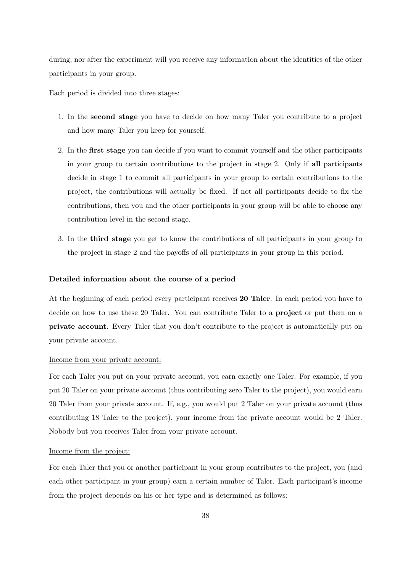during, nor after the experiment will you receive any information about the identities of the other participants in your group.

Each period is divided into three stages:

- 1. In the second stage you have to decide on how many Taler you contribute to a project and how many Taler you keep for yourself.
- 2. In the first stage you can decide if you want to commit yourself and the other participants in your group to certain contributions to the project in stage 2. Only if all participants decide in stage 1 to commit all participants in your group to certain contributions to the project, the contributions will actually be fixed. If not all participants decide to fix the contributions, then you and the other participants in your group will be able to choose any contribution level in the second stage.
- 3. In the third stage you get to know the contributions of all participants in your group to the project in stage 2 and the payoffs of all participants in your group in this period.

### Detailed information about the course of a period

At the beginning of each period every participant receives 20 Taler. In each period you have to decide on how to use these 20 Taler. You can contribute Taler to a project or put them on a private account. Every Taler that you don't contribute to the project is automatically put on your private account.

### Income from your private account:

For each Taler you put on your private account, you earn exactly one Taler. For example, if you put 20 Taler on your private account (thus contributing zero Taler to the project), you would earn 20 Taler from your private account. If, e.g., you would put 2 Taler on your private account (thus contributing 18 Taler to the project), your income from the private account would be 2 Taler. Nobody but you receives Taler from your private account.

# Income from the project:

For each Taler that you or another participant in your group contributes to the project, you (and each other participant in your group) earn a certain number of Taler. Each participant's income from the project depends on his or her type and is determined as follows: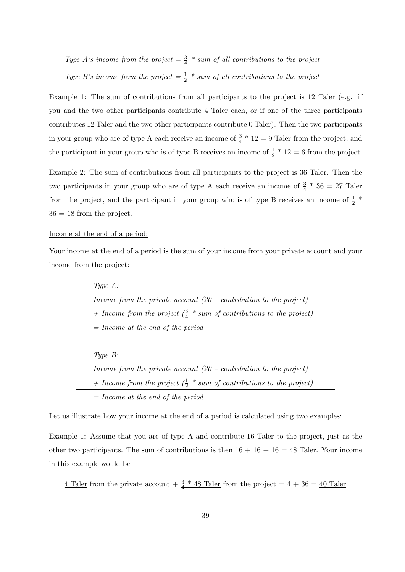<u>Type A</u>'s income from the project  $=\frac{3}{4}$  \* sum of all contributions to the project <u>Type B</u>'s income from the project  $=\frac{1}{2}$  \* sum of all contributions to the project

Example 1: The sum of contributions from all participants to the project is 12 Taler (e.g. if you and the two other participants contribute 4 Taler each, or if one of the three participants contributes 12 Taler and the two other participants contribute 0 Taler). Then the two participants in your group who are of type A each receive an income of  $\frac{3}{4} * 12 = 9$  Taler from the project, and the participant in your group who is of type B receives an income of  $\frac{1}{2} * 12 = 6$  from the project.

Example 2: The sum of contributions from all participants to the project is 36 Taler. Then the two participants in your group who are of type A each receive an income of  $\frac{3}{4} * 36 = 27$  Taler from the project, and the participant in your group who is of type B receives an income of  $\frac{1}{2}$  \*  $36 = 18$  from the project.

### Income at the end of a period:

Your income at the end of a period is the sum of your income from your private account and your income from the project:

| Type $A$ :                                                                      |
|---------------------------------------------------------------------------------|
| Income from the private account $(20 -$ contribution to the project)            |
| + Income from the project $(\frac{3}{4} * sum$ of contributions to the project) |
| $=$ Income at the end of the period                                             |
|                                                                                 |
| Type $B$ :                                                                      |
| Income from the private account $(20 -$ contribution to the project)            |
| + Income from the project $(\frac{1}{2} * sum of contributions to the project)$ |
| $=$ Income at the end of the period                                             |

Let us illustrate how your income at the end of a period is calculated using two examples:

Example 1: Assume that you are of type A and contribute 16 Taler to the project, just as the other two participants. The sum of contributions is then  $16 + 16 + 16 = 48$  Taler. Your income in this example would be

 $\frac{4 \text{ Taler}}{4 \text{ from the private account}} + \frac{3 \times 48 \text{ Taler}}{4 \text{ from the project}} = 4 + 36 = \frac{40 \text{ Taler}}{4 \text{ cm}}$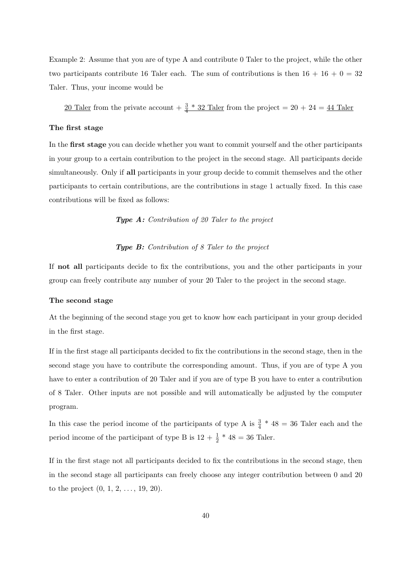Example 2: Assume that you are of type A and contribute 0 Taler to the project, while the other two participants contribute 16 Taler each. The sum of contributions is then  $16 + 16 + 0 = 32$ Taler. Thus, your income would be

<u>20 Taler</u> from the private account  $+\frac{3}{4} \times 32$  Taler from the project = 20 + 24 = <u>44 Taler</u>

#### The first stage

In the first stage you can decide whether you want to commit yourself and the other participants in your group to a certain contribution to the project in the second stage. All participants decide simultaneously. Only if all participants in your group decide to commit themselves and the other participants to certain contributions, are the contributions in stage 1 actually fixed. In this case contributions will be fixed as follows:

### Type A: Contribution of 20 Taler to the project

#### Type B: Contribution of 8 Taler to the project

If not all participants decide to fix the contributions, you and the other participants in your group can freely contribute any number of your 20 Taler to the project in the second stage.

### The second stage

At the beginning of the second stage you get to know how each participant in your group decided in the first stage.

If in the first stage all participants decided to fix the contributions in the second stage, then in the second stage you have to contribute the corresponding amount. Thus, if you are of type A you have to enter a contribution of 20 Taler and if you are of type B you have to enter a contribution of 8 Taler. Other inputs are not possible and will automatically be adjusted by the computer program.

In this case the period income of the participants of type A is  $\frac{3}{4} * 48 = 36$  Taler each and the period income of the participant of type B is  $12 + \frac{1}{2} * 48 = 36$  Taler.

If in the first stage not all participants decided to fix the contributions in the second stage, then in the second stage all participants can freely choose any integer contribution between 0 and 20 to the project  $(0, 1, 2, \ldots, 19, 20)$ .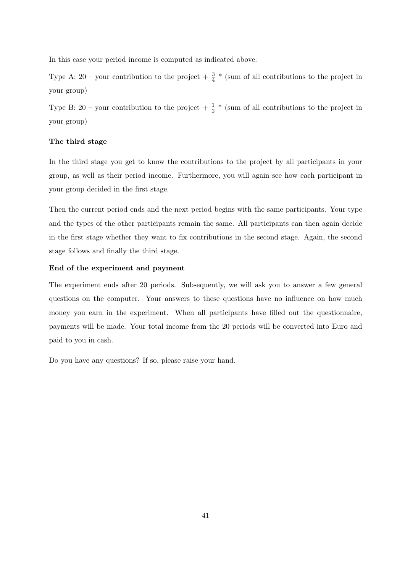In this case your period income is computed as indicated above:

Type A: 20 – your contribution to the project  $+\frac{3}{4}$  \* (sum of all contributions to the project in your group)

Type B: 20 – your contribution to the project  $+\frac{1}{2}$  \* (sum of all contributions to the project in your group)

# The third stage

In the third stage you get to know the contributions to the project by all participants in your group, as well as their period income. Furthermore, you will again see how each participant in your group decided in the first stage.

Then the current period ends and the next period begins with the same participants. Your type and the types of the other participants remain the same. All participants can then again decide in the first stage whether they want to fix contributions in the second stage. Again, the second stage follows and finally the third stage.

#### End of the experiment and payment

The experiment ends after 20 periods. Subsequently, we will ask you to answer a few general questions on the computer. Your answers to these questions have no influence on how much money you earn in the experiment. When all participants have filled out the questionnaire, payments will be made. Your total income from the 20 periods will be converted into Euro and paid to you in cash.

Do you have any questions? If so, please raise your hand.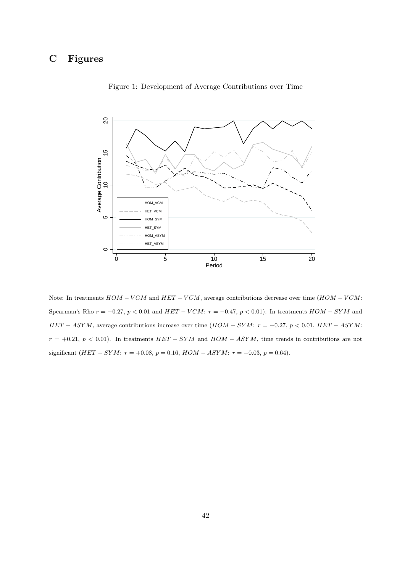# <span id="page-44-1"></span><span id="page-44-0"></span>C Figures



Figure 1: Development of Average Contributions over Time

Note: In treatments  $HOM - VCM$  and  $HET - VCM$ , average contributions decrease over time  $(HOM - VCM)$ : Spearman's Rho  $r = -0.27$ ,  $p < 0.01$  and  $HET - VCM$ :  $r = -0.47$ ,  $p < 0.01$ ). In treatments  $HOM - SYM$  and  $HET - ASYM$ , average contributions increase over time  $(HOM - SYM: r = +0.27, p < 0.01, HET - ASYM:$  $r = +0.21, p < 0.01$ . In treatments  $HET - SYM$  and  $HOM - ASYM$ , time trends in contributions are not significant  $(HET - SYM: r = +0.08, p = 0.16, HOM - ASYM: r = -0.03, p = 0.64)$ .